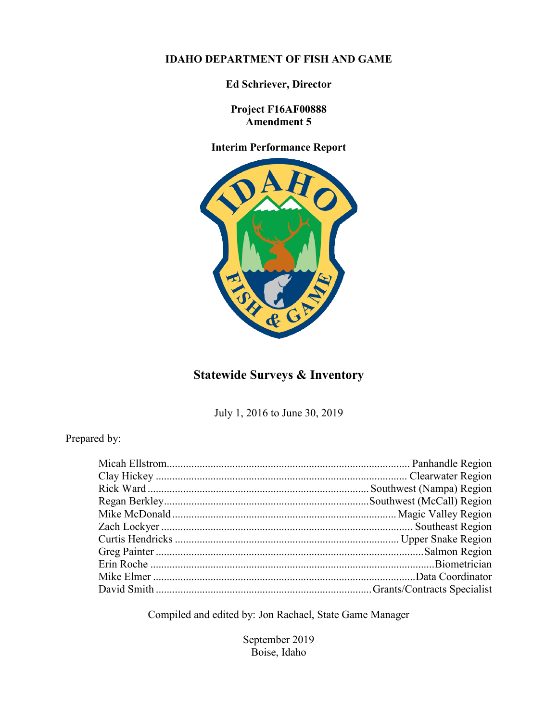## **IDAHO DEPARTMENT OF FISH AND GAME**

**Ed Schriever, Director**

**Project F16AF00888 Amendment 5**

## **Interim Performance Report**



## **Statewide Surveys & Inventory**

July 1, 2016 to June 30, 2019

## Prepared by:

Compiled and edited by: Jon Rachael, State Game Manager

September 2019 Boise, Idaho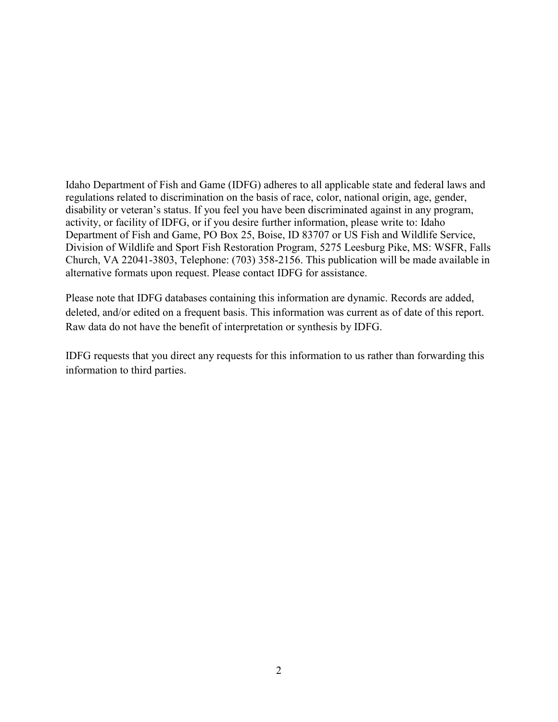Idaho Department of Fish and Game (IDFG) adheres to all applicable state and federal laws and regulations related to discrimination on the basis of race, color, national origin, age, gender, disability or veteran's status. If you feel you have been discriminated against in any program, activity, or facility of IDFG, or if you desire further information, please write to: Idaho Department of Fish and Game, PO Box 25, Boise, ID 83707 or US Fish and Wildlife Service, Division of Wildlife and Sport Fish Restoration Program, 5275 Leesburg Pike, MS: WSFR, Falls Church, VA 22041-3803, Telephone: (703) 358-2156. This publication will be made available in alternative formats upon request. Please contact IDFG for assistance.

Please note that IDFG databases containing this information are dynamic. Records are added, deleted, and/or edited on a frequent basis. This information was current as of date of this report. Raw data do not have the benefit of interpretation or synthesis by IDFG.

IDFG requests that you direct any requests for this information to us rather than forwarding this information to third parties.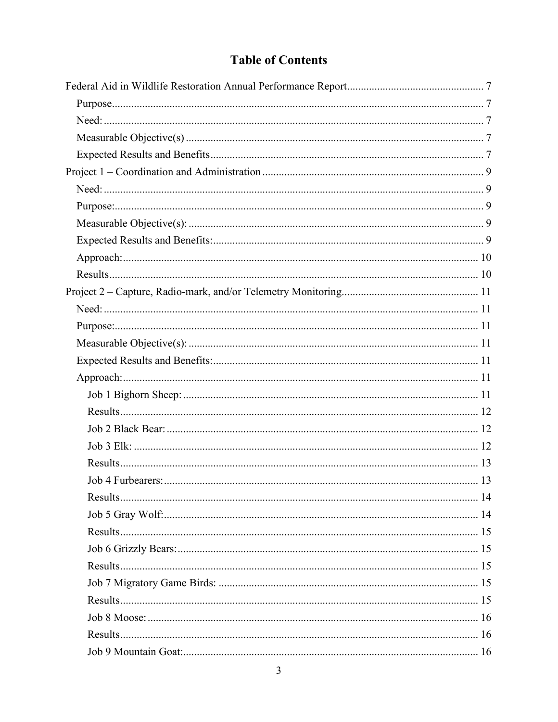# **Table of Contents**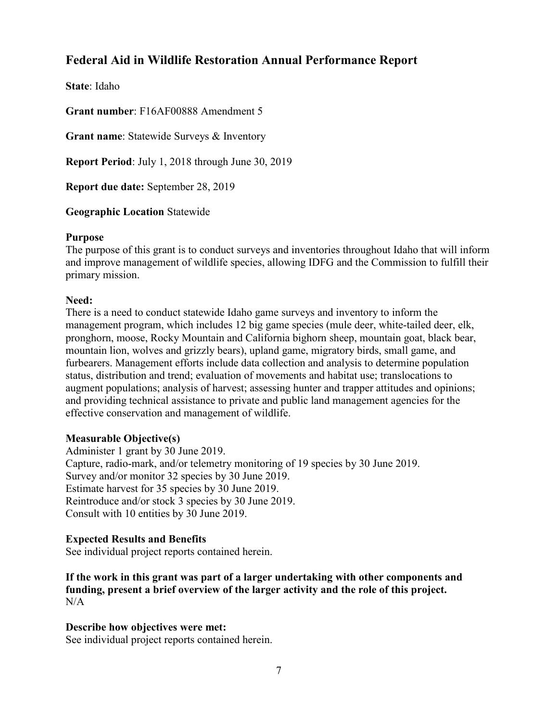## <span id="page-6-0"></span>**Federal Aid in Wildlife Restoration Annual Performance Report**

**State**: Idaho

**Grant number**: F16AF00888 Amendment 5

**Grant name**: Statewide Surveys & Inventory

**Report Period**: July 1, 2018 through June 30, 2019

**Report due date:** September 28, 2019

**Geographic Location** Statewide

## <span id="page-6-1"></span>**Purpose**

The purpose of this grant is to conduct surveys and inventories throughout Idaho that will inform and improve management of wildlife species, allowing IDFG and the Commission to fulfill their primary mission.

## <span id="page-6-2"></span>**Need:**

There is a need to conduct statewide Idaho game surveys and inventory to inform the management program, which includes 12 big game species (mule deer, white-tailed deer, elk, pronghorn, moose, Rocky Mountain and California bighorn sheep, mountain goat, black bear, mountain lion, wolves and grizzly bears), upland game, migratory birds, small game, and furbearers. Management efforts include data collection and analysis to determine population status, distribution and trend; evaluation of movements and habitat use; translocations to augment populations; analysis of harvest; assessing hunter and trapper attitudes and opinions; and providing technical assistance to private and public land management agencies for the effective conservation and management of wildlife.

## <span id="page-6-3"></span>**Measurable Objective(s)**

Administer 1 grant by 30 June 2019. Capture, radio-mark, and/or telemetry monitoring of 19 species by 30 June 2019. Survey and/or monitor 32 species by 30 June 2019. Estimate harvest for 35 species by 30 June 2019. Reintroduce and/or stock 3 species by 30 June 2019. Consult with 10 entities by 30 June 2019.

## <span id="page-6-4"></span>**Expected Results and Benefits**

See individual project reports contained herein.

**If the work in this grant was part of a larger undertaking with other components and funding, present a brief overview of the larger activity and the role of this project.** N/A

## **Describe how objectives were met:**

See individual project reports contained herein.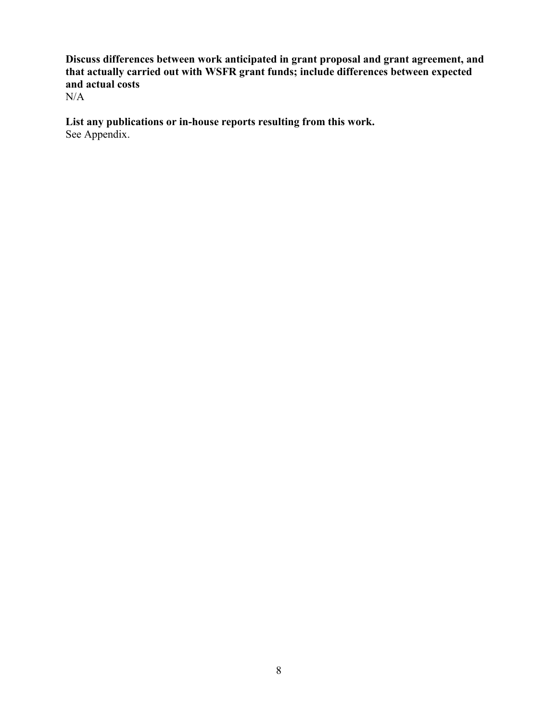**Discuss differences between work anticipated in grant proposal and grant agreement, and that actually carried out with WSFR grant funds; include differences between expected and actual costs**

N/A

**List any publications or in-house reports resulting from this work.** See Appendix.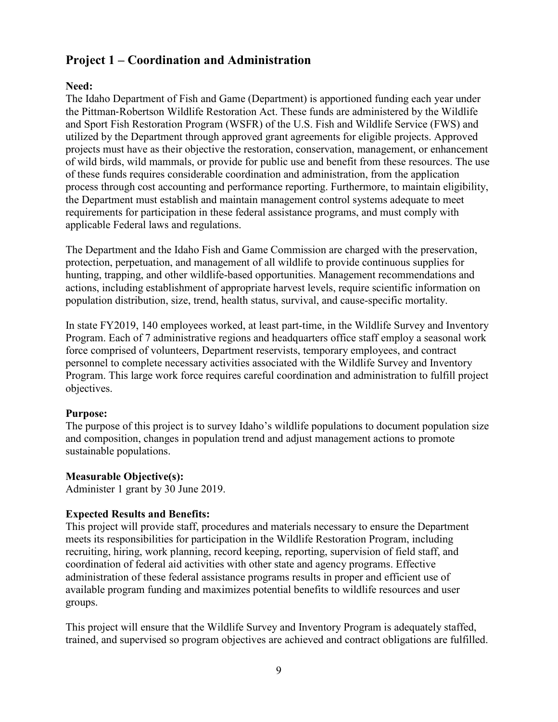## <span id="page-8-0"></span>**Project 1 – Coordination and Administration**

## <span id="page-8-1"></span>**Need:**

The Idaho Department of Fish and Game (Department) is apportioned funding each year under the Pittman‐Robertson Wildlife Restoration Act. These funds are administered by the Wildlife and Sport Fish Restoration Program (WSFR) of the U.S. Fish and Wildlife Service (FWS) and utilized by the Department through approved grant agreements for eligible projects. Approved projects must have as their objective the restoration, conservation, management, or enhancement of wild birds, wild mammals, or provide for public use and benefit from these resources. The use of these funds requires considerable coordination and administration, from the application process through cost accounting and performance reporting. Furthermore, to maintain eligibility, the Department must establish and maintain management control systems adequate to meet requirements for participation in these federal assistance programs, and must comply with applicable Federal laws and regulations.

The Department and the Idaho Fish and Game Commission are charged with the preservation, protection, perpetuation, and management of all wildlife to provide continuous supplies for hunting, trapping, and other wildlife-based opportunities. Management recommendations and actions, including establishment of appropriate harvest levels, require scientific information on population distribution, size, trend, health status, survival, and cause-specific mortality.

In state FY2019, 140 employees worked, at least part-time, in the Wildlife Survey and Inventory Program. Each of 7 administrative regions and headquarters office staff employ a seasonal work force comprised of volunteers, Department reservists, temporary employees, and contract personnel to complete necessary activities associated with the Wildlife Survey and Inventory Program. This large work force requires careful coordination and administration to fulfill project objectives.

## <span id="page-8-2"></span>**Purpose:**

The purpose of this project is to survey Idaho's wildlife populations to document population size and composition, changes in population trend and adjust management actions to promote sustainable populations.

## <span id="page-8-3"></span>**Measurable Objective(s):**

Administer 1 grant by 30 June 2019.

## <span id="page-8-4"></span>**Expected Results and Benefits:**

This project will provide staff, procedures and materials necessary to ensure the Department meets its responsibilities for participation in the Wildlife Restoration Program, including recruiting, hiring, work planning, record keeping, reporting, supervision of field staff, and coordination of federal aid activities with other state and agency programs. Effective administration of these federal assistance programs results in proper and efficient use of available program funding and maximizes potential benefits to wildlife resources and user groups.

This project will ensure that the Wildlife Survey and Inventory Program is adequately staffed, trained, and supervised so program objectives are achieved and contract obligations are fulfilled.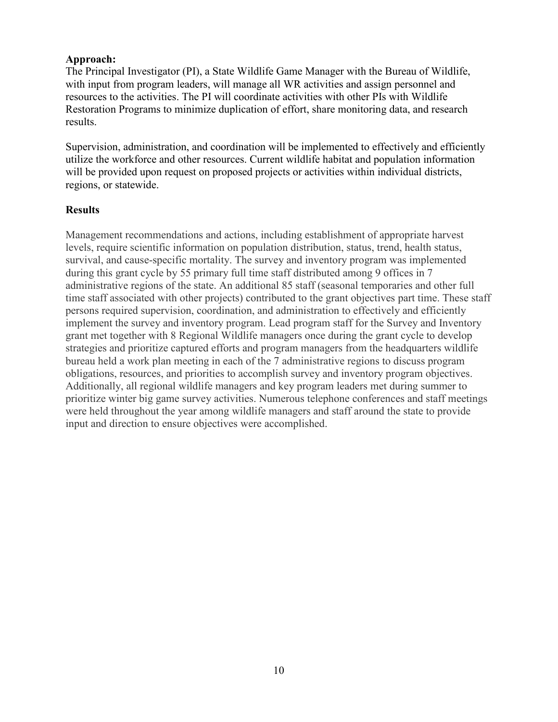## <span id="page-9-0"></span>**Approach:**

The Principal Investigator (PI), a State Wildlife Game Manager with the Bureau of Wildlife, with input from program leaders, will manage all WR activities and assign personnel and resources to the activities. The PI will coordinate activities with other PIs with Wildlife Restoration Programs to minimize duplication of effort, share monitoring data, and research results.

Supervision, administration, and coordination will be implemented to effectively and efficiently utilize the workforce and other resources. Current wildlife habitat and population information will be provided upon request on proposed projects or activities within individual districts, regions, or statewide.

## <span id="page-9-1"></span>**Results**

Management recommendations and actions, including establishment of appropriate harvest levels, require scientific information on population distribution, status, trend, health status, survival, and cause-specific mortality. The survey and inventory program was implemented during this grant cycle by 55 primary full time staff distributed among 9 offices in 7 administrative regions of the state. An additional 85 staff (seasonal temporaries and other full time staff associated with other projects) contributed to the grant objectives part time. These staff persons required supervision, coordination, and administration to effectively and efficiently implement the survey and inventory program. Lead program staff for the Survey and Inventory grant met together with 8 Regional Wildlife managers once during the grant cycle to develop strategies and prioritize captured efforts and program managers from the headquarters wildlife bureau held a work plan meeting in each of the 7 administrative regions to discuss program obligations, resources, and priorities to accomplish survey and inventory program objectives. Additionally, all regional wildlife managers and key program leaders met during summer to prioritize winter big game survey activities. Numerous telephone conferences and staff meetings were held throughout the year among wildlife managers and staff around the state to provide input and direction to ensure objectives were accomplished.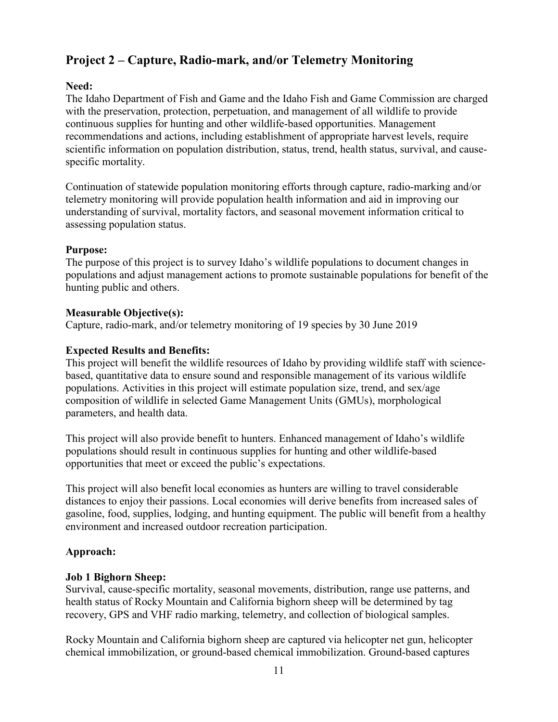## <span id="page-10-0"></span>**Project 2 – Capture, Radio-mark, and/or Telemetry Monitoring**

## <span id="page-10-1"></span>**Need:**

The Idaho Department of Fish and Game and the Idaho Fish and Game Commission are charged with the preservation, protection, perpetuation, and management of all wildlife to provide continuous supplies for hunting and other wildlife-based opportunities. Management recommendations and actions, including establishment of appropriate harvest levels, require scientific information on population distribution, status, trend, health status, survival, and causespecific mortality.

Continuation of statewide population monitoring efforts through capture, radio-marking and/or telemetry monitoring will provide population health information and aid in improving our understanding of survival, mortality factors, and seasonal movement information critical to assessing population status.

## <span id="page-10-2"></span>**Purpose:**

The purpose of this project is to survey Idaho's wildlife populations to document changes in populations and adjust management actions to promote sustainable populations for benefit of the hunting public and others.

## <span id="page-10-3"></span>**Measurable Objective(s):**

Capture, radio-mark, and/or telemetry monitoring of 19 species by 30 June 2019

## <span id="page-10-4"></span>**Expected Results and Benefits:**

This project will benefit the wildlife resources of Idaho by providing wildlife staff with sciencebased, quantitative data to ensure sound and responsible management of its various wildlife populations. Activities in this project will estimate population size, trend, and sex/age composition of wildlife in selected Game Management Units (GMUs), morphological parameters, and health data.

This project will also provide benefit to hunters. Enhanced management of Idaho's wildlife populations should result in continuous supplies for hunting and other wildlife-based opportunities that meet or exceed the public's expectations.

This project will also benefit local economies as hunters are willing to travel considerable distances to enjoy their passions. Local economies will derive benefits from increased sales of gasoline, food, supplies, lodging, and hunting equipment. The public will benefit from a healthy environment and increased outdoor recreation participation.

## <span id="page-10-5"></span>**Approach:**

## <span id="page-10-6"></span>**Job 1 Bighorn Sheep:**

Survival, cause-specific mortality, seasonal movements, distribution, range use patterns, and health status of Rocky Mountain and California bighorn sheep will be determined by tag recovery, GPS and VHF radio marking, telemetry, and collection of biological samples.

Rocky Mountain and California bighorn sheep are captured via helicopter net gun, helicopter chemical immobilization, or ground-based chemical immobilization. Ground-based captures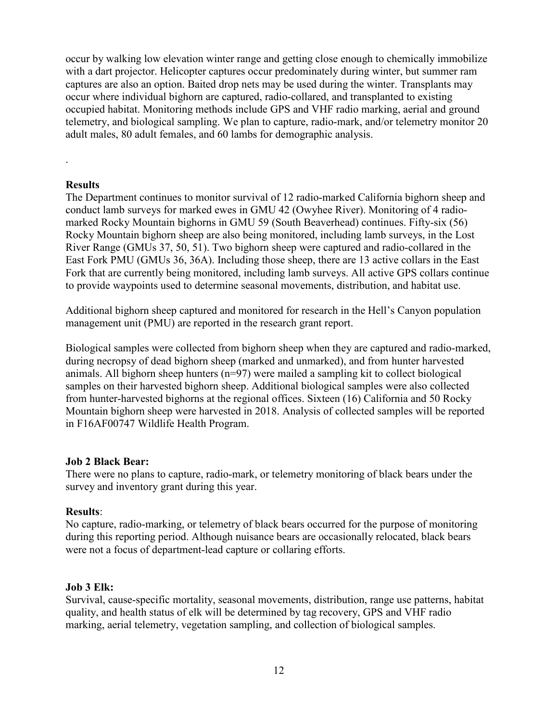occur by walking low elevation winter range and getting close enough to chemically immobilize with a dart projector. Helicopter captures occur predominately during winter, but summer ram captures are also an option. Baited drop nets may be used during the winter. Transplants may occur where individual bighorn are captured, radio-collared, and transplanted to existing occupied habitat. Monitoring methods include GPS and VHF radio marking, aerial and ground telemetry, and biological sampling. We plan to capture, radio-mark, and/or telemetry monitor 20 adult males, 80 adult females, and 60 lambs for demographic analysis.

## <span id="page-11-0"></span>**Results**

.

The Department continues to monitor survival of 12 radio-marked California bighorn sheep and conduct lamb surveys for marked ewes in GMU 42 (Owyhee River). Monitoring of 4 radiomarked Rocky Mountain bighorns in GMU 59 (South Beaverhead) continues. Fifty-six (56) Rocky Mountain bighorn sheep are also being monitored, including lamb surveys, in the Lost River Range (GMUs 37, 50, 51). Two bighorn sheep were captured and radio-collared in the East Fork PMU (GMUs 36, 36A). Including those sheep, there are 13 active collars in the East Fork that are currently being monitored, including lamb surveys. All active GPS collars continue to provide waypoints used to determine seasonal movements, distribution, and habitat use.

Additional bighorn sheep captured and monitored for research in the Hell's Canyon population management unit (PMU) are reported in the research grant report.

Biological samples were collected from bighorn sheep when they are captured and radio-marked, during necropsy of dead bighorn sheep (marked and unmarked), and from hunter harvested animals. All bighorn sheep hunters  $(n=97)$  were mailed a sampling kit to collect biological samples on their harvested bighorn sheep. Additional biological samples were also collected from hunter-harvested bighorns at the regional offices. Sixteen (16) California and 50 Rocky Mountain bighorn sheep were harvested in 2018. Analysis of collected samples will be reported in F16AF00747 Wildlife Health Program.

## <span id="page-11-1"></span>**Job 2 Black Bear:**

There were no plans to capture, radio-mark, or telemetry monitoring of black bears under the survey and inventory grant during this year.

## **Results**:

No capture, radio-marking, or telemetry of black bears occurred for the purpose of monitoring during this reporting period. Although nuisance bears are occasionally relocated, black bears were not a focus of department-lead capture or collaring efforts.

#### <span id="page-11-2"></span>**Job 3 Elk:**

Survival, cause-specific mortality, seasonal movements, distribution, range use patterns, habitat quality, and health status of elk will be determined by tag recovery, GPS and VHF radio marking, aerial telemetry, vegetation sampling, and collection of biological samples.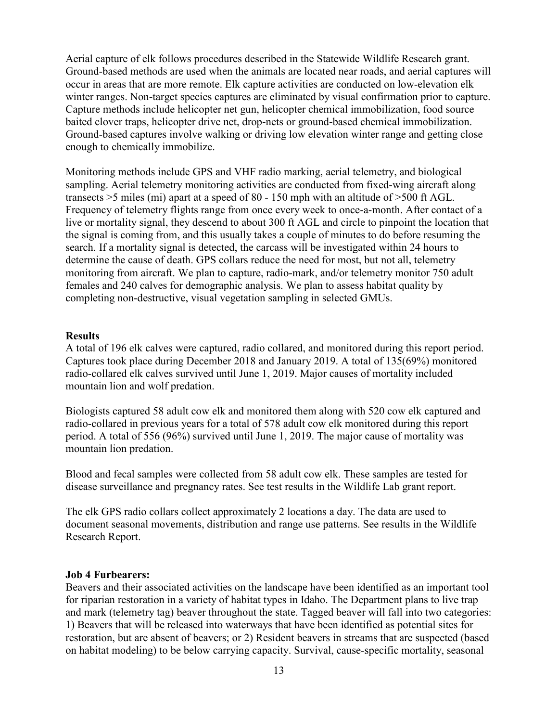Aerial capture of elk follows procedures described in the Statewide Wildlife Research grant. Ground-based methods are used when the animals are located near roads, and aerial captures will occur in areas that are more remote. Elk capture activities are conducted on low-elevation elk winter ranges. Non-target species captures are eliminated by visual confirmation prior to capture. Capture methods include helicopter net gun, helicopter chemical immobilization, food source baited clover traps, helicopter drive net, drop-nets or ground-based chemical immobilization. Ground-based captures involve walking or driving low elevation winter range and getting close enough to chemically immobilize.

Monitoring methods include GPS and VHF radio marking, aerial telemetry, and biological sampling. Aerial telemetry monitoring activities are conducted from fixed-wing aircraft along transects >5 miles (mi) apart at a speed of 80 - 150 mph with an altitude of >500 ft AGL. Frequency of telemetry flights range from once every week to once-a-month. After contact of a live or mortality signal, they descend to about 300 ft AGL and circle to pinpoint the location that the signal is coming from, and this usually takes a couple of minutes to do before resuming the search. If a mortality signal is detected, the carcass will be investigated within 24 hours to determine the cause of death. GPS collars reduce the need for most, but not all, telemetry monitoring from aircraft. We plan to capture, radio-mark, and/or telemetry monitor 750 adult females and 240 calves for demographic analysis. We plan to assess habitat quality by completing non-destructive, visual vegetation sampling in selected GMUs.

#### <span id="page-12-0"></span>**Results**

A total of 196 elk calves were captured, radio collared, and monitored during this report period. Captures took place during December 2018 and January 2019. A total of 135(69%) monitored radio-collared elk calves survived until June 1, 2019. Major causes of mortality included mountain lion and wolf predation.

Biologists captured 58 adult cow elk and monitored them along with 520 cow elk captured and radio-collared in previous years for a total of 578 adult cow elk monitored during this report period. A total of 556 (96%) survived until June 1, 2019. The major cause of mortality was mountain lion predation.

Blood and fecal samples were collected from 58 adult cow elk. These samples are tested for disease surveillance and pregnancy rates. See test results in the Wildlife Lab grant report.

The elk GPS radio collars collect approximately 2 locations a day. The data are used to document seasonal movements, distribution and range use patterns. See results in the Wildlife Research Report.

#### <span id="page-12-1"></span>**Job 4 Furbearers:**

Beavers and their associated activities on the landscape have been identified as an important tool for riparian restoration in a variety of habitat types in Idaho. The Department plans to live trap and mark (telemetry tag) beaver throughout the state. Tagged beaver will fall into two categories: 1) Beavers that will be released into waterways that have been identified as potential sites for restoration, but are absent of beavers; or 2) Resident beavers in streams that are suspected (based on habitat modeling) to be below carrying capacity. Survival, cause-specific mortality, seasonal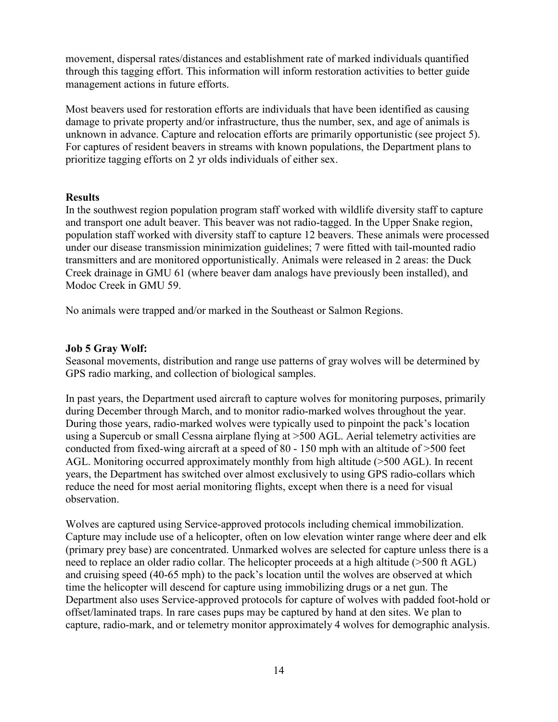movement, dispersal rates/distances and establishment rate of marked individuals quantified through this tagging effort. This information will inform restoration activities to better guide management actions in future efforts.

Most beavers used for restoration efforts are individuals that have been identified as causing damage to private property and/or infrastructure, thus the number, sex, and age of animals is unknown in advance. Capture and relocation efforts are primarily opportunistic (see project 5). For captures of resident beavers in streams with known populations, the Department plans to prioritize tagging efforts on 2 yr olds individuals of either sex.

#### <span id="page-13-0"></span>**Results**

In the southwest region population program staff worked with wildlife diversity staff to capture and transport one adult beaver. This beaver was not radio-tagged. In the Upper Snake region, population staff worked with diversity staff to capture 12 beavers. These animals were processed under our disease transmission minimization guidelines; 7 were fitted with tail-mounted radio transmitters and are monitored opportunistically. Animals were released in 2 areas: the Duck Creek drainage in GMU 61 (where beaver dam analogs have previously been installed), and Modoc Creek in GMU 59.

No animals were trapped and/or marked in the Southeast or Salmon Regions.

#### <span id="page-13-1"></span>**Job 5 Gray Wolf:**

Seasonal movements, distribution and range use patterns of gray wolves will be determined by GPS radio marking, and collection of biological samples.

In past years, the Department used aircraft to capture wolves for monitoring purposes, primarily during December through March, and to monitor radio-marked wolves throughout the year. During those years, radio-marked wolves were typically used to pinpoint the pack's location using a Supercub or small Cessna airplane flying at >500 AGL. Aerial telemetry activities are conducted from fixed-wing aircraft at a speed of 80 - 150 mph with an altitude of >500 feet AGL. Monitoring occurred approximately monthly from high altitude (>500 AGL). In recent years, the Department has switched over almost exclusively to using GPS radio-collars which reduce the need for most aerial monitoring flights, except when there is a need for visual observation.

Wolves are captured using Service-approved protocols including chemical immobilization. Capture may include use of a helicopter, often on low elevation winter range where deer and elk (primary prey base) are concentrated. Unmarked wolves are selected for capture unless there is a need to replace an older radio collar. The helicopter proceeds at a high altitude (>500 ft AGL) and cruising speed (40-65 mph) to the pack's location until the wolves are observed at which time the helicopter will descend for capture using immobilizing drugs or a net gun. The Department also uses Service-approved protocols for capture of wolves with padded foot-hold or offset/laminated traps. In rare cases pups may be captured by hand at den sites. We plan to capture, radio-mark, and or telemetry monitor approximately 4 wolves for demographic analysis.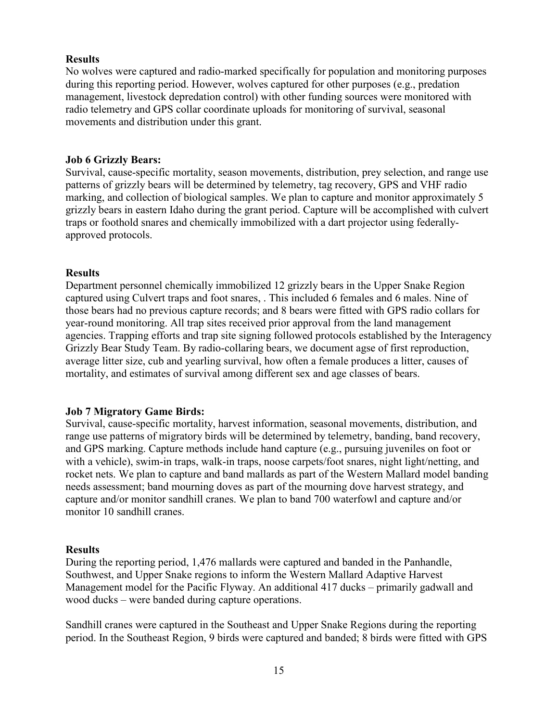## <span id="page-14-0"></span>**Results**

No wolves were captured and radio-marked specifically for population and monitoring purposes during this reporting period. However, wolves captured for other purposes (e.g., predation management, livestock depredation control) with other funding sources were monitored with radio telemetry and GPS collar coordinate uploads for monitoring of survival, seasonal movements and distribution under this grant.

## <span id="page-14-1"></span>**Job 6 Grizzly Bears:**

Survival, cause-specific mortality, season movements, distribution, prey selection, and range use patterns of grizzly bears will be determined by telemetry, tag recovery, GPS and VHF radio marking, and collection of biological samples. We plan to capture and monitor approximately 5 grizzly bears in eastern Idaho during the grant period. Capture will be accomplished with culvert traps or foothold snares and chemically immobilized with a dart projector using federallyapproved protocols.

## <span id="page-14-2"></span>**Results**

Department personnel chemically immobilized 12 grizzly bears in the Upper Snake Region captured using Culvert traps and foot snares, . This included 6 females and 6 males. Nine of those bears had no previous capture records; and 8 bears were fitted with GPS radio collars for year-round monitoring. All trap sites received prior approval from the land management agencies. Trapping efforts and trap site signing followed protocols established by the Interagency Grizzly Bear Study Team. By radio-collaring bears, we document agse of first reproduction, average litter size, cub and yearling survival, how often a female produces a litter, causes of mortality, and estimates of survival among different sex and age classes of bears.

## <span id="page-14-3"></span>**Job 7 Migratory Game Birds:**

Survival, cause-specific mortality, harvest information, seasonal movements, distribution, and range use patterns of migratory birds will be determined by telemetry, banding, band recovery, and GPS marking. Capture methods include hand capture (e.g., pursuing juveniles on foot or with a vehicle), swim-in traps, walk-in traps, noose carpets/foot snares, night light/netting, and rocket nets. We plan to capture and band mallards as part of the Western Mallard model banding needs assessment; band mourning doves as part of the mourning dove harvest strategy, and capture and/or monitor sandhill cranes. We plan to band 700 waterfowl and capture and/or monitor 10 sandhill cranes.

## <span id="page-14-4"></span>**Results**

During the reporting period, 1,476 mallards were captured and banded in the Panhandle, Southwest, and Upper Snake regions to inform the Western Mallard Adaptive Harvest Management model for the Pacific Flyway. An additional 417 ducks – primarily gadwall and wood ducks – were banded during capture operations.

Sandhill cranes were captured in the Southeast and Upper Snake Regions during the reporting period. In the Southeast Region, 9 birds were captured and banded; 8 birds were fitted with GPS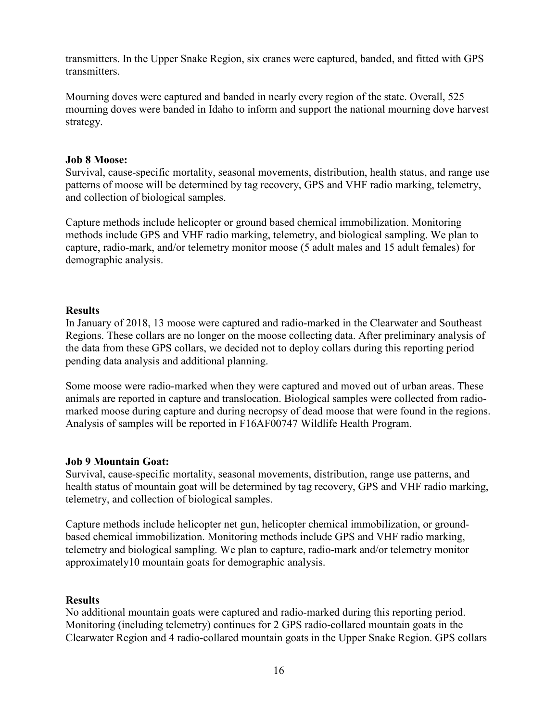transmitters. In the Upper Snake Region, six cranes were captured, banded, and fitted with GPS transmitters.

Mourning doves were captured and banded in nearly every region of the state. Overall, 525 mourning doves were banded in Idaho to inform and support the national mourning dove harvest strategy.

#### <span id="page-15-0"></span>**Job 8 Moose:**

Survival, cause-specific mortality, seasonal movements, distribution, health status, and range use patterns of moose will be determined by tag recovery, GPS and VHF radio marking, telemetry, and collection of biological samples.

Capture methods include helicopter or ground based chemical immobilization. Monitoring methods include GPS and VHF radio marking, telemetry, and biological sampling. We plan to capture, radio-mark, and/or telemetry monitor moose (5 adult males and 15 adult females) for demographic analysis.

#### <span id="page-15-1"></span>**Results**

In January of 2018, 13 moose were captured and radio-marked in the Clearwater and Southeast Regions. These collars are no longer on the moose collecting data. After preliminary analysis of the data from these GPS collars, we decided not to deploy collars during this reporting period pending data analysis and additional planning.

Some moose were radio-marked when they were captured and moved out of urban areas. These animals are reported in capture and translocation. Biological samples were collected from radiomarked moose during capture and during necropsy of dead moose that were found in the regions. Analysis of samples will be reported in F16AF00747 Wildlife Health Program.

## <span id="page-15-2"></span>**Job 9 Mountain Goat:**

Survival, cause-specific mortality, seasonal movements, distribution, range use patterns, and health status of mountain goat will be determined by tag recovery, GPS and VHF radio marking, telemetry, and collection of biological samples.

Capture methods include helicopter net gun, helicopter chemical immobilization, or groundbased chemical immobilization. Monitoring methods include GPS and VHF radio marking, telemetry and biological sampling. We plan to capture, radio-mark and/or telemetry monitor approximately10 mountain goats for demographic analysis.

## <span id="page-15-3"></span>**Results**

No additional mountain goats were captured and radio-marked during this reporting period. Monitoring (including telemetry) continues for 2 GPS radio-collared mountain goats in the Clearwater Region and 4 radio-collared mountain goats in the Upper Snake Region. GPS collars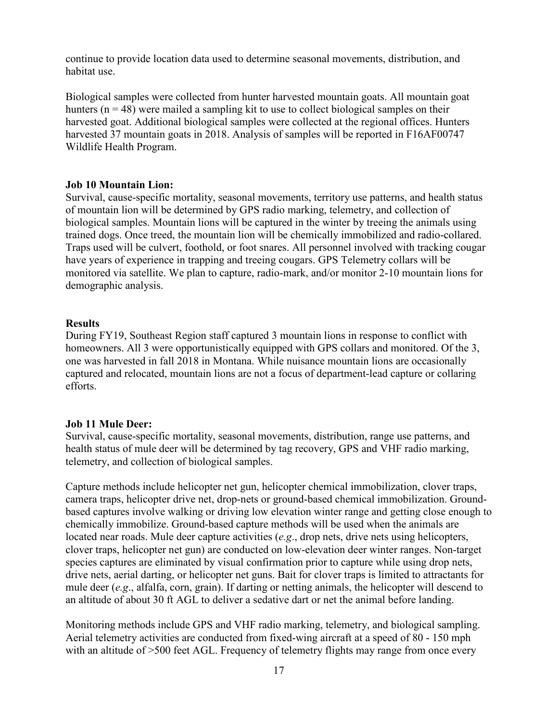continue to provide location data used to determine seasonal movements, distribution, and habitat use.

Biological samples were collected from hunter harvested mountain goats. All mountain goat hunters  $(n = 48)$  were mailed a sampling kit to use to collect biological samples on their harvested goat. Additional biological samples were collected at the regional offices. Hunters harvested 37 mountain goats in 2018. Analysis of samples will be reported in F16AF00747 Wildlife Health Program.

#### <span id="page-16-0"></span>**Job 10 Mountain Lion:**

Survival, cause-specific mortality, seasonal movements, territory use patterns, and health status of mountain lion will be determined by GPS radio marking, telemetry, and collection of biological samples. Mountain lions will be captured in the winter by treeing the animals using trained dogs. Once treed, the mountain lion will be chemically immobilized and radio-collared. Traps used will be culvert, foothold, or foot snares. All personnel involved with tracking cougar have years of experience in trapping and treeing cougars. GPS Telemetry collars will be monitored via satellite. We plan to capture, radio-mark, and/or monitor 2-10 mountain lions for demographic analysis.

#### <span id="page-16-1"></span>**Results**

During FY19, Southeast Region staff captured 3 mountain lions in response to conflict with homeowners. All 3 were opportunistically equipped with GPS collars and monitored. Of the 3, one was harvested in fall 2018 in Montana. While nuisance mountain lions are occasionally captured and relocated, mountain lions are not a focus of department-lead capture or collaring efforts.

## <span id="page-16-2"></span>**Job 11 Mule Deer:**

Survival, cause-specific mortality, seasonal movements, distribution, range use patterns, and health status of mule deer will be determined by tag recovery, GPS and VHF radio marking, telemetry, and collection of biological samples.

Capture methods include helicopter net gun, helicopter chemical immobilization, clover traps, camera traps, helicopter drive net, drop-nets or ground-based chemical immobilization. Groundbased captures involve walking or driving low elevation winter range and getting close enough to chemically immobilize. Ground-based capture methods will be used when the animals are located near roads. Mule deer capture activities (*e.g*., drop nets, drive nets using helicopters, clover traps, helicopter net gun) are conducted on low-elevation deer winter ranges. Non-target species captures are eliminated by visual confirmation prior to capture while using drop nets, drive nets, aerial darting, or helicopter net guns. Bait for clover traps is limited to attractants for mule deer (*e.g*., alfalfa, corn, grain). If darting or netting animals, the helicopter will descend to an altitude of about 30 ft AGL to deliver a sedative dart or net the animal before landing.

Monitoring methods include GPS and VHF radio marking, telemetry, and biological sampling. Aerial telemetry activities are conducted from fixed-wing aircraft at a speed of 80 - 150 mph with an altitude of >500 feet AGL. Frequency of telemetry flights may range from once every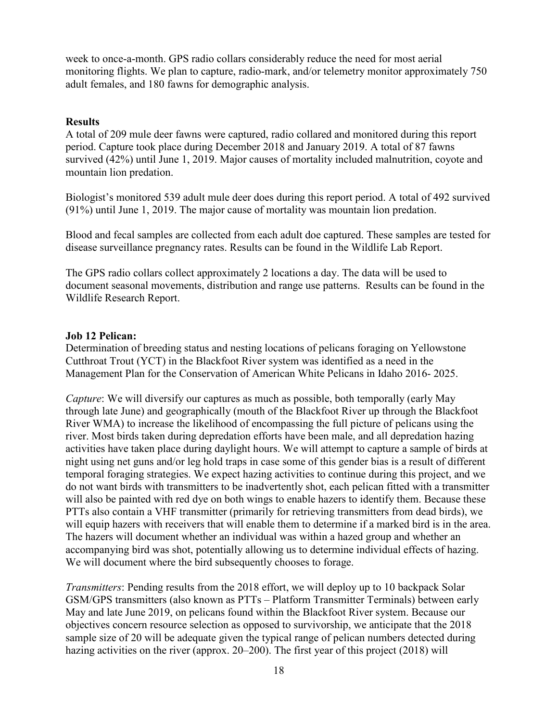week to once-a-month. GPS radio collars considerably reduce the need for most aerial monitoring flights. We plan to capture, radio-mark, and/or telemetry monitor approximately 750 adult females, and 180 fawns for demographic analysis.

## <span id="page-17-0"></span>**Results**

A total of 209 mule deer fawns were captured, radio collared and monitored during this report period. Capture took place during December 2018 and January 2019. A total of 87 fawns survived (42%) until June 1, 2019. Major causes of mortality included malnutrition, coyote and mountain lion predation.

Biologist's monitored 539 adult mule deer does during this report period. A total of 492 survived (91%) until June 1, 2019. The major cause of mortality was mountain lion predation.

Blood and fecal samples are collected from each adult doe captured. These samples are tested for disease surveillance pregnancy rates. Results can be found in the Wildlife Lab Report.

The GPS radio collars collect approximately 2 locations a day. The data will be used to document seasonal movements, distribution and range use patterns. Results can be found in the Wildlife Research Report.

## <span id="page-17-1"></span>**Job 12 Pelican:**

Determination of breeding status and nesting locations of pelicans foraging on Yellowstone Cutthroat Trout (YCT) in the Blackfoot River system was identified as a need in the Management Plan for the Conservation of American White Pelicans in Idaho 2016- 2025.

*Capture*: We will diversify our captures as much as possible, both temporally (early May through late June) and geographically (mouth of the Blackfoot River up through the Blackfoot River WMA) to increase the likelihood of encompassing the full picture of pelicans using the river. Most birds taken during depredation efforts have been male, and all depredation hazing activities have taken place during daylight hours. We will attempt to capture a sample of birds at night using net guns and/or leg hold traps in case some of this gender bias is a result of different temporal foraging strategies. We expect hazing activities to continue during this project, and we do not want birds with transmitters to be inadvertently shot, each pelican fitted with a transmitter will also be painted with red dye on both wings to enable hazers to identify them. Because these PTTs also contain a VHF transmitter (primarily for retrieving transmitters from dead birds), we will equip hazers with receivers that will enable them to determine if a marked bird is in the area. The hazers will document whether an individual was within a hazed group and whether an accompanying bird was shot, potentially allowing us to determine individual effects of hazing. We will document where the bird subsequently chooses to forage.

*Transmitters*: Pending results from the 2018 effort, we will deploy up to 10 backpack Solar GSM/GPS transmitters (also known as PTTs – Platform Transmitter Terminals) between early May and late June 2019, on pelicans found within the Blackfoot River system. Because our objectives concern resource selection as opposed to survivorship, we anticipate that the 2018 sample size of 20 will be adequate given the typical range of pelican numbers detected during hazing activities on the river (approx. 20–200). The first year of this project (2018) will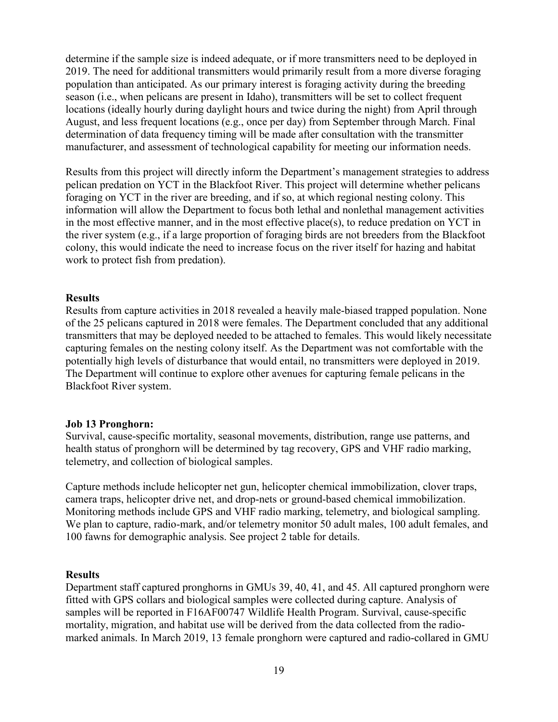determine if the sample size is indeed adequate, or if more transmitters need to be deployed in 2019. The need for additional transmitters would primarily result from a more diverse foraging population than anticipated. As our primary interest is foraging activity during the breeding season (i.e., when pelicans are present in Idaho), transmitters will be set to collect frequent locations (ideally hourly during daylight hours and twice during the night) from April through August, and less frequent locations (e.g., once per day) from September through March. Final determination of data frequency timing will be made after consultation with the transmitter manufacturer, and assessment of technological capability for meeting our information needs.

Results from this project will directly inform the Department's management strategies to address pelican predation on YCT in the Blackfoot River. This project will determine whether pelicans foraging on YCT in the river are breeding, and if so, at which regional nesting colony. This information will allow the Department to focus both lethal and nonlethal management activities in the most effective manner, and in the most effective place(s), to reduce predation on YCT in the river system (e.g., if a large proportion of foraging birds are not breeders from the Blackfoot colony, this would indicate the need to increase focus on the river itself for hazing and habitat work to protect fish from predation).

#### <span id="page-18-0"></span>**Results**

Results from capture activities in 2018 revealed a heavily male-biased trapped population. None of the 25 pelicans captured in 2018 were females. The Department concluded that any additional transmitters that may be deployed needed to be attached to females. This would likely necessitate capturing females on the nesting colony itself. As the Department was not comfortable with the potentially high levels of disturbance that would entail, no transmitters were deployed in 2019. The Department will continue to explore other avenues for capturing female pelicans in the Blackfoot River system.

## <span id="page-18-1"></span>**Job 13 Pronghorn:**

Survival, cause-specific mortality, seasonal movements, distribution, range use patterns, and health status of pronghorn will be determined by tag recovery, GPS and VHF radio marking, telemetry, and collection of biological samples.

Capture methods include helicopter net gun, helicopter chemical immobilization, clover traps, camera traps, helicopter drive net, and drop-nets or ground-based chemical immobilization. Monitoring methods include GPS and VHF radio marking, telemetry, and biological sampling. We plan to capture, radio-mark, and/or telemetry monitor 50 adult males, 100 adult females, and 100 fawns for demographic analysis. See project 2 table for details.

## <span id="page-18-2"></span>**Results**

Department staff captured pronghorns in GMUs 39, 40, 41, and 45. All captured pronghorn were fitted with GPS collars and biological samples were collected during capture. Analysis of samples will be reported in F16AF00747 Wildlife Health Program. Survival, cause-specific mortality, migration, and habitat use will be derived from the data collected from the radiomarked animals. In March 2019, 13 female pronghorn were captured and radio-collared in GMU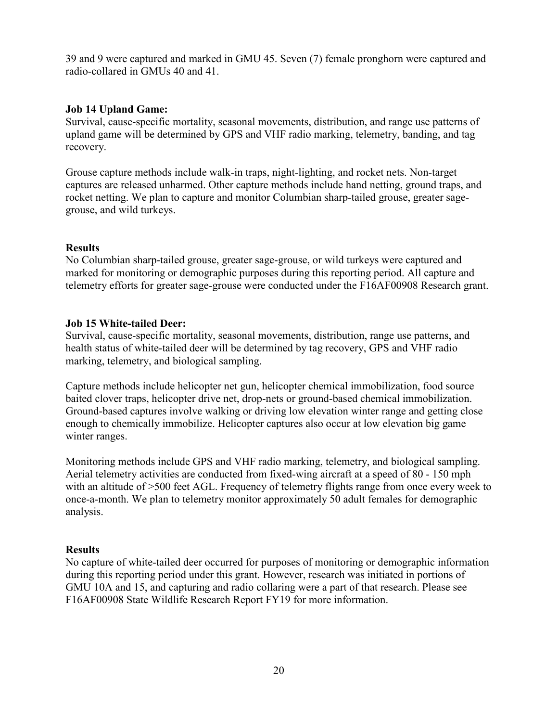39 and 9 were captured and marked in GMU 45. Seven (7) female pronghorn were captured and radio-collared in GMUs 40 and 41.

## <span id="page-19-0"></span>**Job 14 Upland Game:**

Survival, cause-specific mortality, seasonal movements, distribution, and range use patterns of upland game will be determined by GPS and VHF radio marking, telemetry, banding, and tag recovery.

Grouse capture methods include walk-in traps, night-lighting, and rocket nets. Non-target captures are released unharmed. Other capture methods include hand netting, ground traps, and rocket netting. We plan to capture and monitor Columbian sharp-tailed grouse, greater sagegrouse, and wild turkeys.

## <span id="page-19-1"></span>**Results**

No Columbian sharp-tailed grouse, greater sage-grouse, or wild turkeys were captured and marked for monitoring or demographic purposes during this reporting period. All capture and telemetry efforts for greater sage-grouse were conducted under the F16AF00908 Research grant.

## <span id="page-19-2"></span>**Job 15 White-tailed Deer:**

Survival, cause-specific mortality, seasonal movements, distribution, range use patterns, and health status of white-tailed deer will be determined by tag recovery, GPS and VHF radio marking, telemetry, and biological sampling.

Capture methods include helicopter net gun, helicopter chemical immobilization, food source baited clover traps, helicopter drive net, drop-nets or ground-based chemical immobilization. Ground-based captures involve walking or driving low elevation winter range and getting close enough to chemically immobilize. Helicopter captures also occur at low elevation big game winter ranges.

Monitoring methods include GPS and VHF radio marking, telemetry, and biological sampling. Aerial telemetry activities are conducted from fixed-wing aircraft at a speed of 80 - 150 mph with an altitude of >500 feet AGL. Frequency of telemetry flights range from once every week to once-a-month. We plan to telemetry monitor approximately 50 adult females for demographic analysis.

## <span id="page-19-3"></span>**Results**

No capture of white-tailed deer occurred for purposes of monitoring or demographic information during this reporting period under this grant. However, research was initiated in portions of GMU 10A and 15, and capturing and radio collaring were a part of that research. Please see F16AF00908 State Wildlife Research Report FY19 for more information.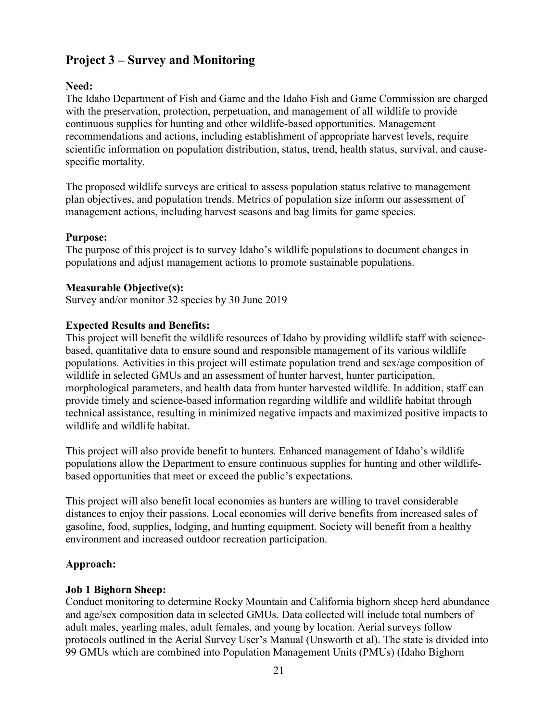## <span id="page-20-0"></span>**Project 3 – Survey and Monitoring**

## <span id="page-20-1"></span>**Need:**

The Idaho Department of Fish and Game and the Idaho Fish and Game Commission are charged with the preservation, protection, perpetuation, and management of all wildlife to provide continuous supplies for hunting and other wildlife-based opportunities. Management recommendations and actions, including establishment of appropriate harvest levels, require scientific information on population distribution, status, trend, health status, survival, and causespecific mortality.

The proposed wildlife surveys are critical to assess population status relative to management plan objectives, and population trends. Metrics of population size inform our assessment of management actions, including harvest seasons and bag limits for game species.

## <span id="page-20-2"></span>**Purpose:**

The purpose of this project is to survey Idaho's wildlife populations to document changes in populations and adjust management actions to promote sustainable populations.

## <span id="page-20-3"></span>**Measurable Objective(s):**

Survey and/or monitor 32 species by 30 June 2019

## <span id="page-20-4"></span>**Expected Results and Benefits:**

This project will benefit the wildlife resources of Idaho by providing wildlife staff with sciencebased, quantitative data to ensure sound and responsible management of its various wildlife populations. Activities in this project will estimate population trend and sex/age composition of wildlife in selected GMUs and an assessment of hunter harvest, hunter participation, morphological parameters, and health data from hunter harvested wildlife. In addition, staff can provide timely and science-based information regarding wildlife and wildlife habitat through technical assistance, resulting in minimized negative impacts and maximized positive impacts to wildlife and wildlife habitat.

This project will also provide benefit to hunters. Enhanced management of Idaho's wildlife populations allow the Department to ensure continuous supplies for hunting and other wildlifebased opportunities that meet or exceed the public's expectations.

This project will also benefit local economies as hunters are willing to travel considerable distances to enjoy their passions. Local economies will derive benefits from increased sales of gasoline, food, supplies, lodging, and hunting equipment. Society will benefit from a healthy environment and increased outdoor recreation participation.

## <span id="page-20-5"></span>**Approach:**

## <span id="page-20-6"></span>**Job 1 Bighorn Sheep:**

Conduct monitoring to determine Rocky Mountain and California bighorn sheep herd abundance and age/sex composition data in selected GMUs. Data collected will include total numbers of adult males, yearling males, adult females, and young by location. Aerial surveys follow protocols outlined in the Aerial Survey User's Manual (Unsworth et al). The state is divided into 99 GMUs which are combined into Population Management Units (PMUs) (Idaho Bighorn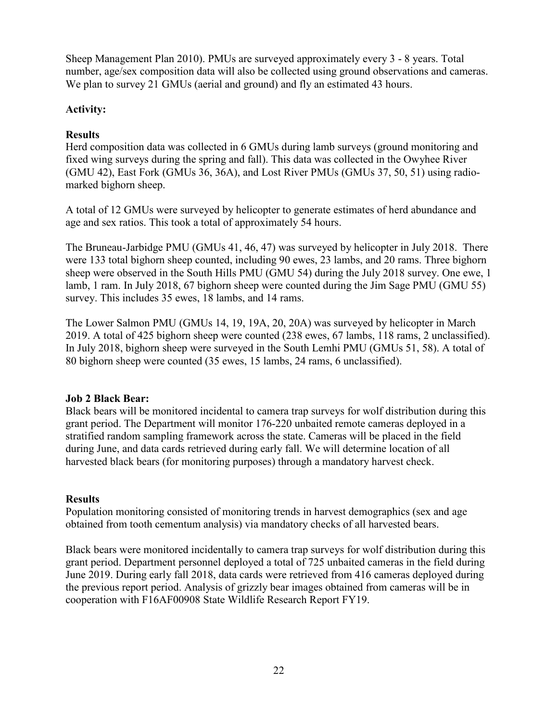Sheep Management Plan 2010). PMUs are surveyed approximately every 3 - 8 years. Total number, age/sex composition data will also be collected using ground observations and cameras. We plan to survey 21 GMUs (aerial and ground) and fly an estimated 43 hours.

## <span id="page-21-0"></span>**Activity:**

## <span id="page-21-1"></span>**Results**

Herd composition data was collected in 6 GMUs during lamb surveys (ground monitoring and fixed wing surveys during the spring and fall). This data was collected in the Owyhee River (GMU 42), East Fork (GMUs 36, 36A), and Lost River PMUs (GMUs 37, 50, 51) using radiomarked bighorn sheep.

A total of 12 GMUs were surveyed by helicopter to generate estimates of herd abundance and age and sex ratios. This took a total of approximately 54 hours.

The Bruneau-Jarbidge PMU (GMUs 41, 46, 47) was surveyed by helicopter in July 2018. There were 133 total bighorn sheep counted, including 90 ewes, 23 lambs, and 20 rams. Three bighorn sheep were observed in the South Hills PMU (GMU 54) during the July 2018 survey. One ewe, 1 lamb, 1 ram. In July 2018, 67 bighorn sheep were counted during the Jim Sage PMU (GMU 55) survey. This includes 35 ewes, 18 lambs, and 14 rams.

The Lower Salmon PMU (GMUs 14, 19, 19A, 20, 20A) was surveyed by helicopter in March 2019. A total of 425 bighorn sheep were counted (238 ewes, 67 lambs, 118 rams, 2 unclassified). In July 2018, bighorn sheep were surveyed in the South Lemhi PMU (GMUs 51, 58). A total of 80 bighorn sheep were counted (35 ewes, 15 lambs, 24 rams, 6 unclassified).

## <span id="page-21-2"></span>**Job 2 Black Bear:**

Black bears will be monitored incidental to camera trap surveys for wolf distribution during this grant period. The Department will monitor 176-220 unbaited remote cameras deployed in a stratified random sampling framework across the state. Cameras will be placed in the field during June, and data cards retrieved during early fall. We will determine location of all harvested black bears (for monitoring purposes) through a mandatory harvest check.

## <span id="page-21-3"></span>**Results**

Population monitoring consisted of monitoring trends in harvest demographics (sex and age obtained from tooth cementum analysis) via mandatory checks of all harvested bears.

Black bears were monitored incidentally to camera trap surveys for wolf distribution during this grant period. Department personnel deployed a total of 725 unbaited cameras in the field during June 2019. During early fall 2018, data cards were retrieved from 416 cameras deployed during the previous report period. Analysis of grizzly bear images obtained from cameras will be in cooperation with F16AF00908 State Wildlife Research Report FY19.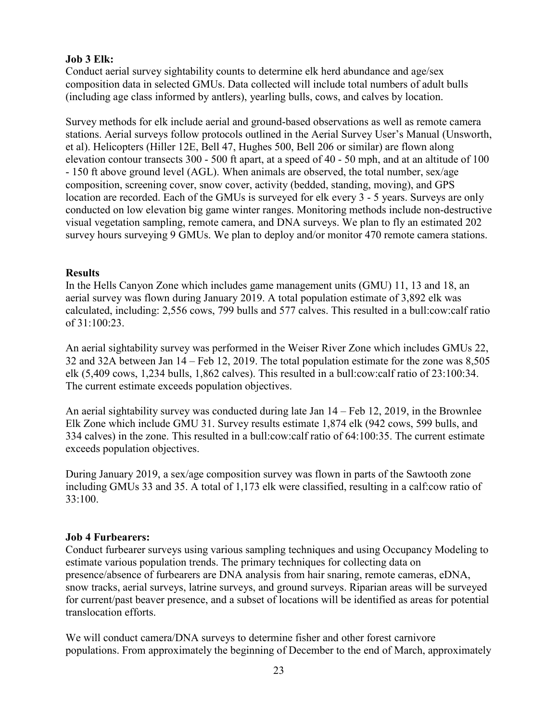## <span id="page-22-0"></span>**Job 3 Elk:**

Conduct aerial survey sightability counts to determine elk herd abundance and age/sex composition data in selected GMUs. Data collected will include total numbers of adult bulls (including age class informed by antlers), yearling bulls, cows, and calves by location.

Survey methods for elk include aerial and ground-based observations as well as remote camera stations. Aerial surveys follow protocols outlined in the Aerial Survey User's Manual (Unsworth, et al). Helicopters (Hiller 12E, Bell 47, Hughes 500, Bell 206 or similar) are flown along elevation contour transects 300 - 500 ft apart, at a speed of 40 - 50 mph, and at an altitude of 100 - 150 ft above ground level (AGL). When animals are observed, the total number, sex/age composition, screening cover, snow cover, activity (bedded, standing, moving), and GPS location are recorded. Each of the GMUs is surveyed for elk every 3 - 5 years. Surveys are only conducted on low elevation big game winter ranges. Monitoring methods include non-destructive visual vegetation sampling, remote camera, and DNA surveys. We plan to fly an estimated 202 survey hours surveying 9 GMUs. We plan to deploy and/or monitor 470 remote camera stations.

## <span id="page-22-1"></span>**Results**

In the Hells Canyon Zone which includes game management units (GMU) 11, 13 and 18, an aerial survey was flown during January 2019. A total population estimate of 3,892 elk was calculated, including: 2,556 cows, 799 bulls and 577 calves. This resulted in a bull:cow:calf ratio of 31:100:23.

An aerial sightability survey was performed in the Weiser River Zone which includes GMUs 22, 32 and 32A between Jan 14 – Feb 12, 2019. The total population estimate for the zone was 8,505 elk (5,409 cows, 1,234 bulls, 1,862 calves). This resulted in a bull:cow:calf ratio of 23:100:34. The current estimate exceeds population objectives.

An aerial sightability survey was conducted during late Jan 14 – Feb 12, 2019, in the Brownlee Elk Zone which include GMU 31. Survey results estimate 1,874 elk (942 cows, 599 bulls, and 334 calves) in the zone. This resulted in a bull:cow:calf ratio of 64:100:35. The current estimate exceeds population objectives.

During January 2019, a sex/age composition survey was flown in parts of the Sawtooth zone including GMUs 33 and 35. A total of 1,173 elk were classified, resulting in a calf:cow ratio of 33:100.

## <span id="page-22-2"></span>**Job 4 Furbearers:**

Conduct furbearer surveys using various sampling techniques and using Occupancy Modeling to estimate various population trends. The primary techniques for collecting data on presence/absence of furbearers are DNA analysis from hair snaring, remote cameras, eDNA, snow tracks, aerial surveys, latrine surveys, and ground surveys. Riparian areas will be surveyed for current/past beaver presence, and a subset of locations will be identified as areas for potential translocation efforts.

We will conduct camera/DNA surveys to determine fisher and other forest carnivore populations. From approximately the beginning of December to the end of March, approximately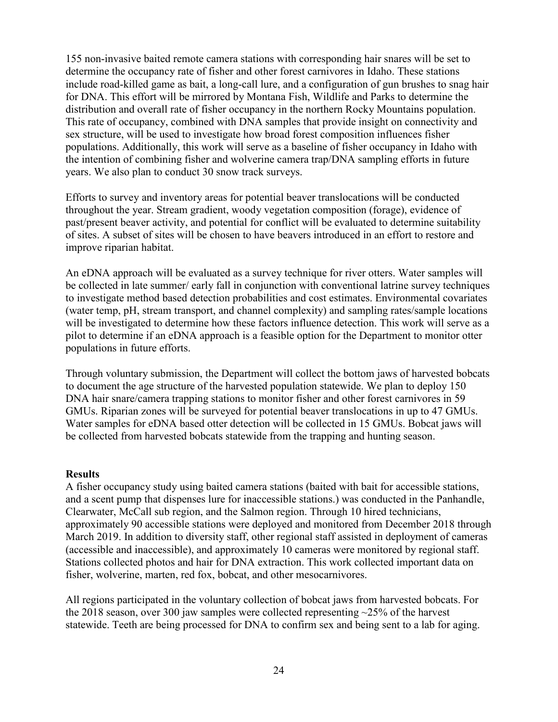155 non-invasive baited remote camera stations with corresponding hair snares will be set to determine the occupancy rate of fisher and other forest carnivores in Idaho. These stations include road-killed game as bait, a long-call lure, and a configuration of gun brushes to snag hair for DNA. This effort will be mirrored by Montana Fish, Wildlife and Parks to determine the distribution and overall rate of fisher occupancy in the northern Rocky Mountains population. This rate of occupancy, combined with DNA samples that provide insight on connectivity and sex structure, will be used to investigate how broad forest composition influences fisher populations. Additionally, this work will serve as a baseline of fisher occupancy in Idaho with the intention of combining fisher and wolverine camera trap/DNA sampling efforts in future years. We also plan to conduct 30 snow track surveys.

Efforts to survey and inventory areas for potential beaver translocations will be conducted throughout the year. Stream gradient, woody vegetation composition (forage), evidence of past/present beaver activity, and potential for conflict will be evaluated to determine suitability of sites. A subset of sites will be chosen to have beavers introduced in an effort to restore and improve riparian habitat.

An eDNA approach will be evaluated as a survey technique for river otters. Water samples will be collected in late summer/ early fall in conjunction with conventional latrine survey techniques to investigate method based detection probabilities and cost estimates. Environmental covariates (water temp, pH, stream transport, and channel complexity) and sampling rates/sample locations will be investigated to determine how these factors influence detection. This work will serve as a pilot to determine if an eDNA approach is a feasible option for the Department to monitor otter populations in future efforts.

Through voluntary submission, the Department will collect the bottom jaws of harvested bobcats to document the age structure of the harvested population statewide. We plan to deploy 150 DNA hair snare/camera trapping stations to monitor fisher and other forest carnivores in 59 GMUs. Riparian zones will be surveyed for potential beaver translocations in up to 47 GMUs. Water samples for eDNA based otter detection will be collected in 15 GMUs. Bobcat jaws will be collected from harvested bobcats statewide from the trapping and hunting season.

## <span id="page-23-0"></span>**Results**

A fisher occupancy study using baited camera stations (baited with bait for accessible stations, and a scent pump that dispenses lure for inaccessible stations.) was conducted in the Panhandle, Clearwater, McCall sub region, and the Salmon region. Through 10 hired technicians, approximately 90 accessible stations were deployed and monitored from December 2018 through March 2019. In addition to diversity staff, other regional staff assisted in deployment of cameras (accessible and inaccessible), and approximately 10 cameras were monitored by regional staff. Stations collected photos and hair for DNA extraction. This work collected important data on fisher, wolverine, marten, red fox, bobcat, and other mesocarnivores.

All regions participated in the voluntary collection of bobcat jaws from harvested bobcats. For the 2018 season, over 300 jaw samples were collected representing ~25% of the harvest statewide. Teeth are being processed for DNA to confirm sex and being sent to a lab for aging.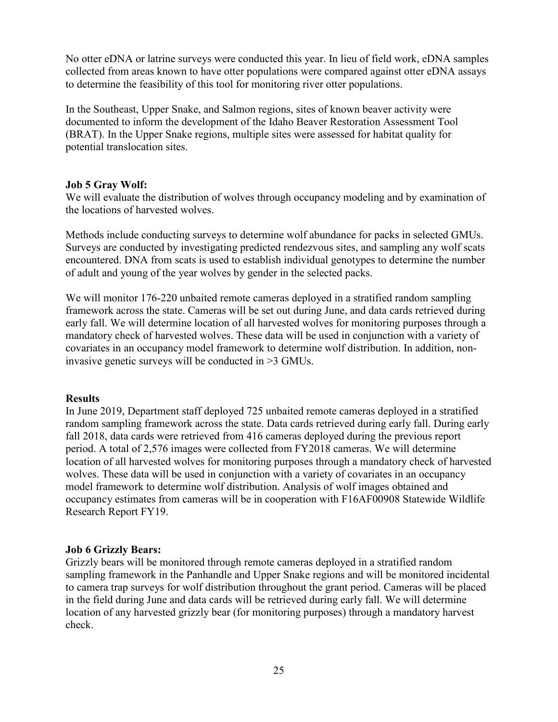No otter eDNA or latrine surveys were conducted this year. In lieu of field work, eDNA samples collected from areas known to have otter populations were compared against otter eDNA assays to determine the feasibility of this tool for monitoring river otter populations.

In the Southeast, Upper Snake, and Salmon regions, sites of known beaver activity were documented to inform the development of the Idaho Beaver Restoration Assessment Tool (BRAT). In the Upper Snake regions, multiple sites were assessed for habitat quality for potential translocation sites.

## <span id="page-24-0"></span>**Job 5 Gray Wolf:**

We will evaluate the distribution of wolves through occupancy modeling and by examination of the locations of harvested wolves.

Methods include conducting surveys to determine wolf abundance for packs in selected GMUs. Surveys are conducted by investigating predicted rendezvous sites, and sampling any wolf scats encountered. DNA from scats is used to establish individual genotypes to determine the number of adult and young of the year wolves by gender in the selected packs.

We will monitor 176-220 unbaited remote cameras deployed in a stratified random sampling framework across the state. Cameras will be set out during June, and data cards retrieved during early fall. We will determine location of all harvested wolves for monitoring purposes through a mandatory check of harvested wolves. These data will be used in conjunction with a variety of covariates in an occupancy model framework to determine wolf distribution. In addition, noninvasive genetic surveys will be conducted in >3 GMUs.

## <span id="page-24-1"></span>**Results**

In June 2019, Department staff deployed 725 unbaited remote cameras deployed in a stratified random sampling framework across the state. Data cards retrieved during early fall. During early fall 2018, data cards were retrieved from 416 cameras deployed during the previous report period. A total of 2,576 images were collected from FY2018 cameras. We will determine location of all harvested wolves for monitoring purposes through a mandatory check of harvested wolves. These data will be used in conjunction with a variety of covariates in an occupancy model framework to determine wolf distribution. Analysis of wolf images obtained and occupancy estimates from cameras will be in cooperation with F16AF00908 Statewide Wildlife Research Report FY19.

## <span id="page-24-2"></span>**Job 6 Grizzly Bears:**

Grizzly bears will be monitored through remote cameras deployed in a stratified random sampling framework in the Panhandle and Upper Snake regions and will be monitored incidental to camera trap surveys for wolf distribution throughout the grant period. Cameras will be placed in the field during June and data cards will be retrieved during early fall. We will determine location of any harvested grizzly bear (for monitoring purposes) through a mandatory harvest check.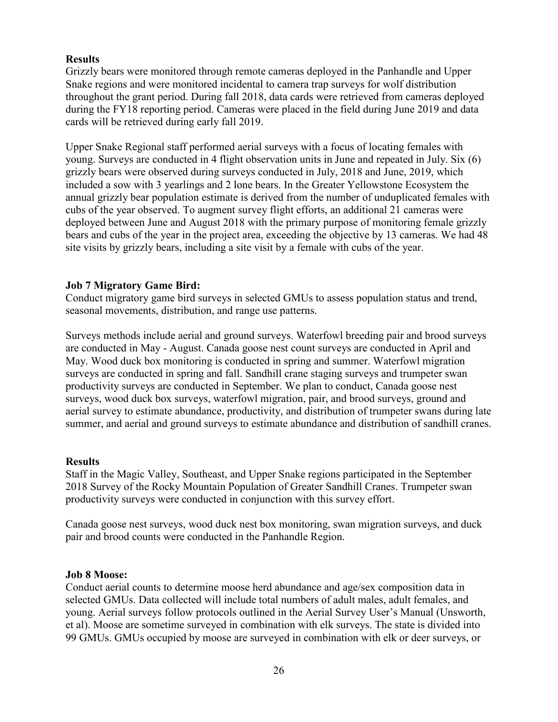## <span id="page-25-0"></span>**Results**

Grizzly bears were monitored through remote cameras deployed in the Panhandle and Upper Snake regions and were monitored incidental to camera trap surveys for wolf distribution throughout the grant period. During fall 2018, data cards were retrieved from cameras deployed during the FY18 reporting period. Cameras were placed in the field during June 2019 and data cards will be retrieved during early fall 2019.

Upper Snake Regional staff performed aerial surveys with a focus of locating females with young. Surveys are conducted in 4 flight observation units in June and repeated in July. Six (6) grizzly bears were observed during surveys conducted in July, 2018 and June, 2019, which included a sow with 3 yearlings and 2 lone bears. In the Greater Yellowstone Ecosystem the annual grizzly bear population estimate is derived from the number of unduplicated females with cubs of the year observed. To augment survey flight efforts, an additional 21 cameras were deployed between June and August 2018 with the primary purpose of monitoring female grizzly bears and cubs of the year in the project area, exceeding the objective by 13 cameras. We had 48 site visits by grizzly bears, including a site visit by a female with cubs of the year.

## <span id="page-25-1"></span>**Job 7 Migratory Game Bird:**

Conduct migratory game bird surveys in selected GMUs to assess population status and trend, seasonal movements, distribution, and range use patterns.

Surveys methods include aerial and ground surveys. Waterfowl breeding pair and brood surveys are conducted in May - August. Canada goose nest count surveys are conducted in April and May. Wood duck box monitoring is conducted in spring and summer. Waterfowl migration surveys are conducted in spring and fall. Sandhill crane staging surveys and trumpeter swan productivity surveys are conducted in September. We plan to conduct, Canada goose nest surveys, wood duck box surveys, waterfowl migration, pair, and brood surveys, ground and aerial survey to estimate abundance, productivity, and distribution of trumpeter swans during late summer, and aerial and ground surveys to estimate abundance and distribution of sandhill cranes.

## <span id="page-25-2"></span>**Results**

Staff in the Magic Valley, Southeast, and Upper Snake regions participated in the September 2018 Survey of the Rocky Mountain Population of Greater Sandhill Cranes. Trumpeter swan productivity surveys were conducted in conjunction with this survey effort.

Canada goose nest surveys, wood duck nest box monitoring, swan migration surveys, and duck pair and brood counts were conducted in the Panhandle Region.

## <span id="page-25-3"></span>**Job 8 Moose:**

Conduct aerial counts to determine moose herd abundance and age/sex composition data in selected GMUs. Data collected will include total numbers of adult males, adult females, and young. Aerial surveys follow protocols outlined in the Aerial Survey User's Manual (Unsworth, et al). Moose are sometime surveyed in combination with elk surveys. The state is divided into 99 GMUs. GMUs occupied by moose are surveyed in combination with elk or deer surveys, or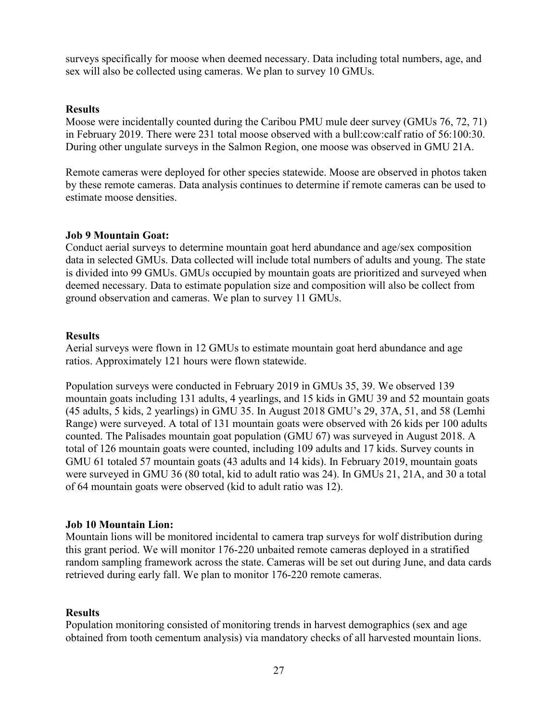surveys specifically for moose when deemed necessary. Data including total numbers, age, and sex will also be collected using cameras. We plan to survey 10 GMUs.

#### <span id="page-26-0"></span>**Results**

Moose were incidentally counted during the Caribou PMU mule deer survey (GMUs 76, 72, 71) in February 2019. There were 231 total moose observed with a bull:cow:calf ratio of 56:100:30. During other ungulate surveys in the Salmon Region, one moose was observed in GMU 21A.

Remote cameras were deployed for other species statewide. Moose are observed in photos taken by these remote cameras. Data analysis continues to determine if remote cameras can be used to estimate moose densities.

#### <span id="page-26-1"></span>**Job 9 Mountain Goat:**

Conduct aerial surveys to determine mountain goat herd abundance and age/sex composition data in selected GMUs. Data collected will include total numbers of adults and young. The state is divided into 99 GMUs. GMUs occupied by mountain goats are prioritized and surveyed when deemed necessary. Data to estimate population size and composition will also be collect from ground observation and cameras. We plan to survey 11 GMUs.

#### <span id="page-26-2"></span>**Results**

Aerial surveys were flown in 12 GMUs to estimate mountain goat herd abundance and age ratios. Approximately 121 hours were flown statewide.

Population surveys were conducted in February 2019 in GMUs 35, 39. We observed 139 mountain goats including 131 adults, 4 yearlings, and 15 kids in GMU 39 and 52 mountain goats (45 adults, 5 kids, 2 yearlings) in GMU 35. In August 2018 GMU's 29, 37A, 51, and 58 (Lemhi Range) were surveyed. A total of 131 mountain goats were observed with 26 kids per 100 adults counted. The Palisades mountain goat population (GMU 67) was surveyed in August 2018. A total of 126 mountain goats were counted, including 109 adults and 17 kids. Survey counts in GMU 61 totaled 57 mountain goats (43 adults and 14 kids). In February 2019, mountain goats were surveyed in GMU 36 (80 total, kid to adult ratio was 24). In GMUs 21, 21A, and 30 a total of 64 mountain goats were observed (kid to adult ratio was 12).

## <span id="page-26-3"></span>**Job 10 Mountain Lion:**

Mountain lions will be monitored incidental to camera trap surveys for wolf distribution during this grant period. We will monitor 176-220 unbaited remote cameras deployed in a stratified random sampling framework across the state. Cameras will be set out during June, and data cards retrieved during early fall. We plan to monitor 176-220 remote cameras.

## <span id="page-26-4"></span>**Results**

Population monitoring consisted of monitoring trends in harvest demographics (sex and age obtained from tooth cementum analysis) via mandatory checks of all harvested mountain lions.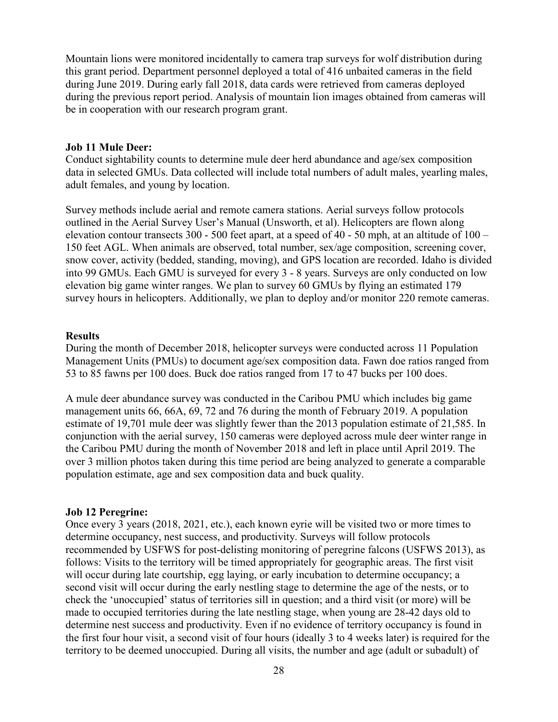Mountain lions were monitored incidentally to camera trap surveys for wolf distribution during this grant period. Department personnel deployed a total of 416 unbaited cameras in the field during June 2019. During early fall 2018, data cards were retrieved from cameras deployed during the previous report period. Analysis of mountain lion images obtained from cameras will be in cooperation with our research program grant.

#### <span id="page-27-0"></span>**Job 11 Mule Deer:**

Conduct sightability counts to determine mule deer herd abundance and age/sex composition data in selected GMUs. Data collected will include total numbers of adult males, yearling males, adult females, and young by location.

Survey methods include aerial and remote camera stations. Aerial surveys follow protocols outlined in the Aerial Survey User's Manual (Unsworth, et al). Helicopters are flown along elevation contour transects  $300 - 500$  feet apart, at a speed of  $40 - 50$  mph, at an altitude of  $100 -$ 150 feet AGL. When animals are observed, total number, sex/age composition, screening cover, snow cover, activity (bedded, standing, moving), and GPS location are recorded. Idaho is divided into 99 GMUs. Each GMU is surveyed for every 3 - 8 years. Surveys are only conducted on low elevation big game winter ranges. We plan to survey 60 GMUs by flying an estimated 179 survey hours in helicopters. Additionally, we plan to deploy and/or monitor 220 remote cameras.

#### <span id="page-27-1"></span>**Results**

During the month of December 2018, helicopter surveys were conducted across 11 Population Management Units (PMUs) to document age/sex composition data. Fawn doe ratios ranged from 53 to 85 fawns per 100 does. Buck doe ratios ranged from 17 to 47 bucks per 100 does.

A mule deer abundance survey was conducted in the Caribou PMU which includes big game management units 66, 66A, 69, 72 and 76 during the month of February 2019. A population estimate of 19,701 mule deer was slightly fewer than the 2013 population estimate of 21,585. In conjunction with the aerial survey, 150 cameras were deployed across mule deer winter range in the Caribou PMU during the month of November 2018 and left in place until April 2019. The over 3 million photos taken during this time period are being analyzed to generate a comparable population estimate, age and sex composition data and buck quality.

#### <span id="page-27-2"></span>**Job 12 Peregrine:**

Once every 3 years (2018, 2021, etc.), each known eyrie will be visited two or more times to determine occupancy, nest success, and productivity. Surveys will follow protocols recommended by USFWS for post-delisting monitoring of peregrine falcons (USFWS 2013), as follows: Visits to the territory will be timed appropriately for geographic areas. The first visit will occur during late courtship, egg laying, or early incubation to determine occupancy; a second visit will occur during the early nestling stage to determine the age of the nests, or to check the 'unoccupied' status of territories sill in question; and a third visit (or more) will be made to occupied territories during the late nestling stage, when young are 28-42 days old to determine nest success and productivity. Even if no evidence of territory occupancy is found in the first four hour visit, a second visit of four hours (ideally 3 to 4 weeks later) is required for the territory to be deemed unoccupied. During all visits, the number and age (adult or subadult) of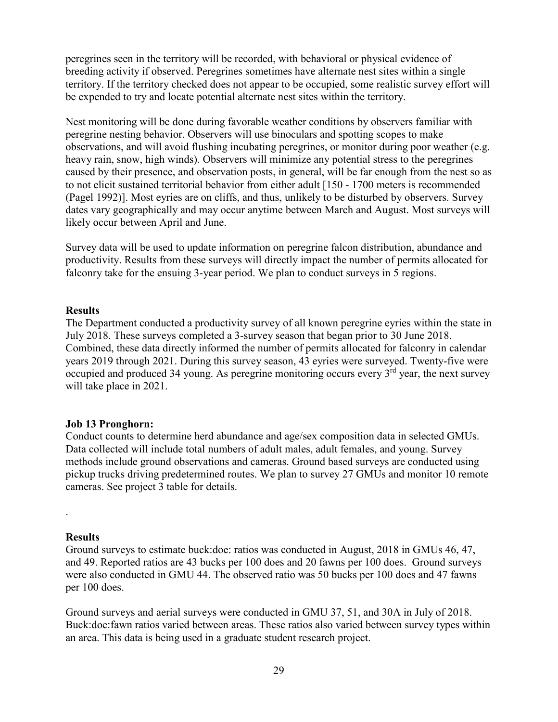peregrines seen in the territory will be recorded, with behavioral or physical evidence of breeding activity if observed. Peregrines sometimes have alternate nest sites within a single territory. If the territory checked does not appear to be occupied, some realistic survey effort will be expended to try and locate potential alternate nest sites within the territory.

Nest monitoring will be done during favorable weather conditions by observers familiar with peregrine nesting behavior. Observers will use binoculars and spotting scopes to make observations, and will avoid flushing incubating peregrines, or monitor during poor weather (e.g. heavy rain, snow, high winds). Observers will minimize any potential stress to the peregrines caused by their presence, and observation posts, in general, will be far enough from the nest so as to not elicit sustained territorial behavior from either adult [150 - 1700 meters is recommended (Pagel 1992)]. Most eyries are on cliffs, and thus, unlikely to be disturbed by observers. Survey dates vary geographically and may occur anytime between March and August. Most surveys will likely occur between April and June.

Survey data will be used to update information on peregrine falcon distribution, abundance and productivity. Results from these surveys will directly impact the number of permits allocated for falconry take for the ensuing 3-year period. We plan to conduct surveys in 5 regions.

#### <span id="page-28-0"></span>**Results**

The Department conducted a productivity survey of all known peregrine eyries within the state in July 2018. These surveys completed a 3-survey season that began prior to 30 June 2018. Combined, these data directly informed the number of permits allocated for falconry in calendar years 2019 through 2021. During this survey season, 43 eyries were surveyed. Twenty-five were occupied and produced 34 young. As peregrine monitoring occurs every 3<sup>rd</sup> year, the next survey will take place in 2021.

## <span id="page-28-1"></span>**Job 13 Pronghorn:**

Conduct counts to determine herd abundance and age/sex composition data in selected GMUs. Data collected will include total numbers of adult males, adult females, and young. Survey methods include ground observations and cameras. Ground based surveys are conducted using pickup trucks driving predetermined routes. We plan to survey 27 GMUs and monitor 10 remote cameras. See project 3 table for details.

## <span id="page-28-2"></span>**Results**

.

Ground surveys to estimate buck:doe: ratios was conducted in August, 2018 in GMUs 46, 47, and 49. Reported ratios are 43 bucks per 100 does and 20 fawns per 100 does. Ground surveys were also conducted in GMU 44. The observed ratio was 50 bucks per 100 does and 47 fawns per 100 does.

Ground surveys and aerial surveys were conducted in GMU 37, 51, and 30A in July of 2018. Buck:doe:fawn ratios varied between areas. These ratios also varied between survey types within an area. This data is being used in a graduate student research project.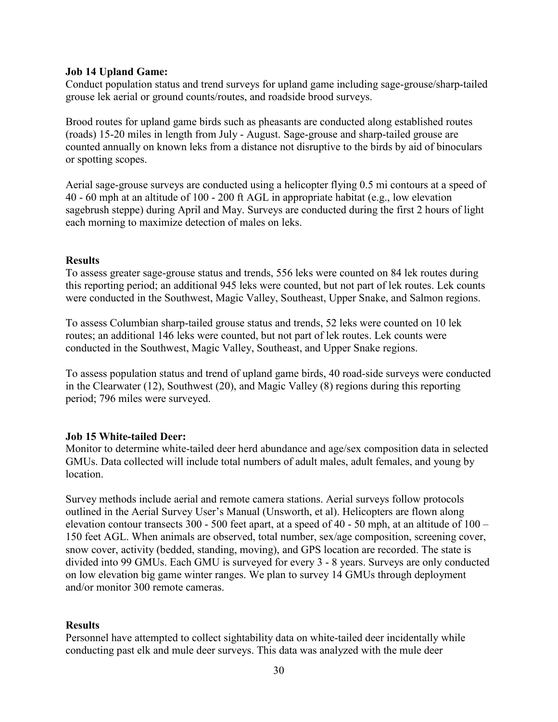#### <span id="page-29-0"></span>**Job 14 Upland Game:**

Conduct population status and trend surveys for upland game including sage-grouse/sharp-tailed grouse lek aerial or ground counts/routes, and roadside brood surveys.

Brood routes for upland game birds such as pheasants are conducted along established routes (roads) 15-20 miles in length from July - August. Sage-grouse and sharp-tailed grouse are counted annually on known leks from a distance not disruptive to the birds by aid of binoculars or spotting scopes.

Aerial sage-grouse surveys are conducted using a helicopter flying 0.5 mi contours at a speed of 40 - 60 mph at an altitude of 100 - 200 ft AGL in appropriate habitat (e.g., low elevation sagebrush steppe) during April and May. Surveys are conducted during the first 2 hours of light each morning to maximize detection of males on leks.

## <span id="page-29-1"></span>**Results**

To assess greater sage-grouse status and trends, 556 leks were counted on 84 lek routes during this reporting period; an additional 945 leks were counted, but not part of lek routes. Lek counts were conducted in the Southwest, Magic Valley, Southeast, Upper Snake, and Salmon regions.

To assess Columbian sharp-tailed grouse status and trends, 52 leks were counted on 10 lek routes; an additional 146 leks were counted, but not part of lek routes. Lek counts were conducted in the Southwest, Magic Valley, Southeast, and Upper Snake regions.

To assess population status and trend of upland game birds, 40 road-side surveys were conducted in the Clearwater (12), Southwest (20), and Magic Valley (8) regions during this reporting period; 796 miles were surveyed.

## <span id="page-29-2"></span>**Job 15 White-tailed Deer:**

Monitor to determine white-tailed deer herd abundance and age/sex composition data in selected GMUs. Data collected will include total numbers of adult males, adult females, and young by location.

Survey methods include aerial and remote camera stations. Aerial surveys follow protocols outlined in the Aerial Survey User's Manual (Unsworth, et al). Helicopters are flown along elevation contour transects 300 - 500 feet apart, at a speed of 40 - 50 mph, at an altitude of 100 – 150 feet AGL. When animals are observed, total number, sex/age composition, screening cover, snow cover, activity (bedded, standing, moving), and GPS location are recorded. The state is divided into 99 GMUs. Each GMU is surveyed for every 3 - 8 years. Surveys are only conducted on low elevation big game winter ranges. We plan to survey 14 GMUs through deployment and/or monitor 300 remote cameras.

## <span id="page-29-3"></span>**Results**

Personnel have attempted to collect sightability data on white-tailed deer incidentally while conducting past elk and mule deer surveys. This data was analyzed with the mule deer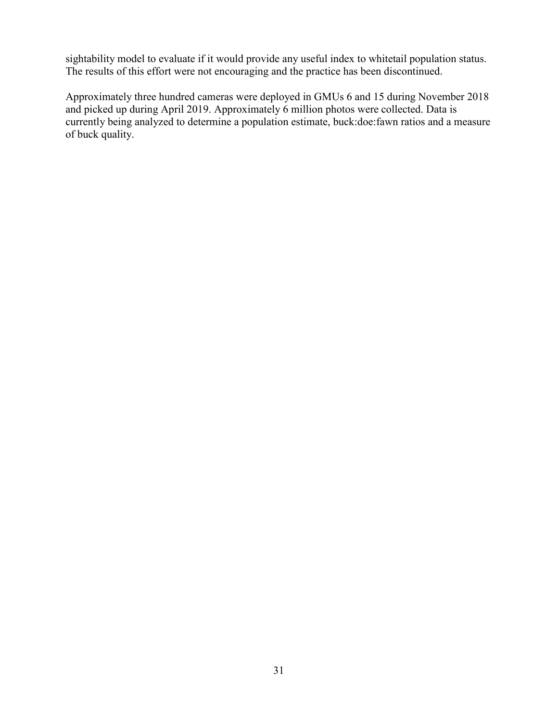sightability model to evaluate if it would provide any useful index to whitetail population status. The results of this effort were not encouraging and the practice has been discontinued.

Approximately three hundred cameras were deployed in GMUs 6 and 15 during November 2018 and picked up during April 2019. Approximately 6 million photos were collected. Data is currently being analyzed to determine a population estimate, buck:doe:fawn ratios and a measure of buck quality.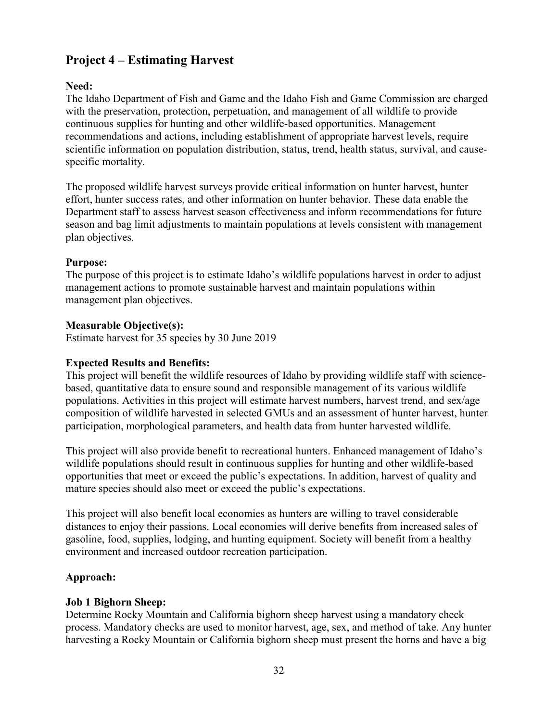## <span id="page-31-0"></span>**Project 4 – Estimating Harvest**

## <span id="page-31-1"></span>**Need:**

The Idaho Department of Fish and Game and the Idaho Fish and Game Commission are charged with the preservation, protection, perpetuation, and management of all wildlife to provide continuous supplies for hunting and other wildlife-based opportunities. Management recommendations and actions, including establishment of appropriate harvest levels, require scientific information on population distribution, status, trend, health status, survival, and causespecific mortality.

The proposed wildlife harvest surveys provide critical information on hunter harvest, hunter effort, hunter success rates, and other information on hunter behavior. These data enable the Department staff to assess harvest season effectiveness and inform recommendations for future season and bag limit adjustments to maintain populations at levels consistent with management plan objectives.

## <span id="page-31-2"></span>**Purpose:**

The purpose of this project is to estimate Idaho's wildlife populations harvest in order to adjust management actions to promote sustainable harvest and maintain populations within management plan objectives.

## <span id="page-31-3"></span>**Measurable Objective(s):**

Estimate harvest for 35 species by 30 June 2019

## <span id="page-31-4"></span>**Expected Results and Benefits:**

This project will benefit the wildlife resources of Idaho by providing wildlife staff with sciencebased, quantitative data to ensure sound and responsible management of its various wildlife populations. Activities in this project will estimate harvest numbers, harvest trend, and sex/age composition of wildlife harvested in selected GMUs and an assessment of hunter harvest, hunter participation, morphological parameters, and health data from hunter harvested wildlife.

This project will also provide benefit to recreational hunters. Enhanced management of Idaho's wildlife populations should result in continuous supplies for hunting and other wildlife-based opportunities that meet or exceed the public's expectations. In addition, harvest of quality and mature species should also meet or exceed the public's expectations.

This project will also benefit local economies as hunters are willing to travel considerable distances to enjoy their passions. Local economies will derive benefits from increased sales of gasoline, food, supplies, lodging, and hunting equipment. Society will benefit from a healthy environment and increased outdoor recreation participation.

## <span id="page-31-5"></span>**Approach:**

## <span id="page-31-6"></span>**Job 1 Bighorn Sheep:**

Determine Rocky Mountain and California bighorn sheep harvest using a mandatory check process. Mandatory checks are used to monitor harvest, age, sex, and method of take. Any hunter harvesting a Rocky Mountain or California bighorn sheep must present the horns and have a big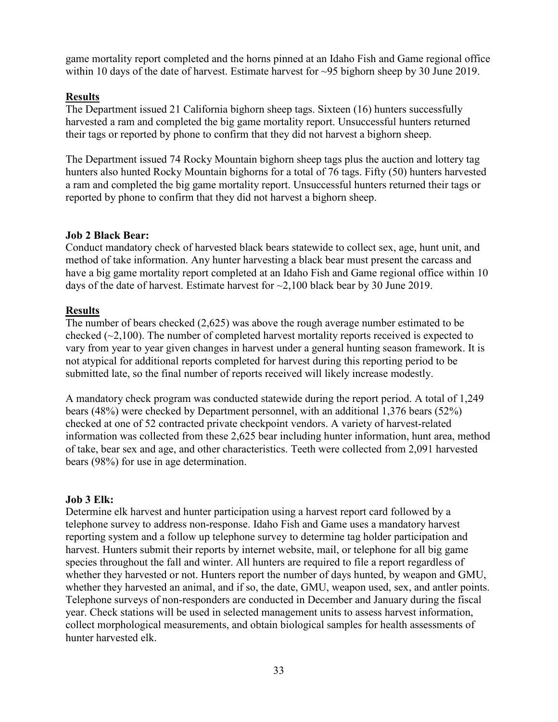game mortality report completed and the horns pinned at an Idaho Fish and Game regional office within 10 days of the date of harvest. Estimate harvest for ~95 bighorn sheep by 30 June 2019.

## **Results**

The Department issued 21 California bighorn sheep tags. Sixteen (16) hunters successfully harvested a ram and completed the big game mortality report. Unsuccessful hunters returned their tags or reported by phone to confirm that they did not harvest a bighorn sheep.

The Department issued 74 Rocky Mountain bighorn sheep tags plus the auction and lottery tag hunters also hunted Rocky Mountain bighorns for a total of 76 tags. Fifty (50) hunters harvested a ram and completed the big game mortality report. Unsuccessful hunters returned their tags or reported by phone to confirm that they did not harvest a bighorn sheep.

## <span id="page-32-0"></span>**Job 2 Black Bear:**

Conduct mandatory check of harvested black bears statewide to collect sex, age, hunt unit, and method of take information. Any hunter harvesting a black bear must present the carcass and have a big game mortality report completed at an Idaho Fish and Game regional office within 10 days of the date of harvest. Estimate harvest for ~2,100 black bear by 30 June 2019.

## **Results**

The number of bears checked (2,625) was above the rough average number estimated to be checked  $(\sim 2,100)$ . The number of completed harvest mortality reports received is expected to vary from year to year given changes in harvest under a general hunting season framework. It is not atypical for additional reports completed for harvest during this reporting period to be submitted late, so the final number of reports received will likely increase modestly.

A mandatory check program was conducted statewide during the report period. A total of 1,249 bears (48%) were checked by Department personnel, with an additional 1,376 bears (52%) checked at one of 52 contracted private checkpoint vendors. A variety of harvest-related information was collected from these 2,625 bear including hunter information, hunt area, method of take, bear sex and age, and other characteristics. Teeth were collected from 2,091 harvested bears (98%) for use in age determination.

## <span id="page-32-1"></span>**Job 3 Elk:**

Determine elk harvest and hunter participation using a harvest report card followed by a telephone survey to address non-response. Idaho Fish and Game uses a mandatory harvest reporting system and a follow up telephone survey to determine tag holder participation and harvest. Hunters submit their reports by internet website, mail, or telephone for all big game species throughout the fall and winter. All hunters are required to file a report regardless of whether they harvested or not. Hunters report the number of days hunted, by weapon and GMU, whether they harvested an animal, and if so, the date, GMU, weapon used, sex, and antler points. Telephone surveys of non-responders are conducted in December and January during the fiscal year. Check stations will be used in selected management units to assess harvest information, collect morphological measurements, and obtain biological samples for health assessments of hunter harvested elk.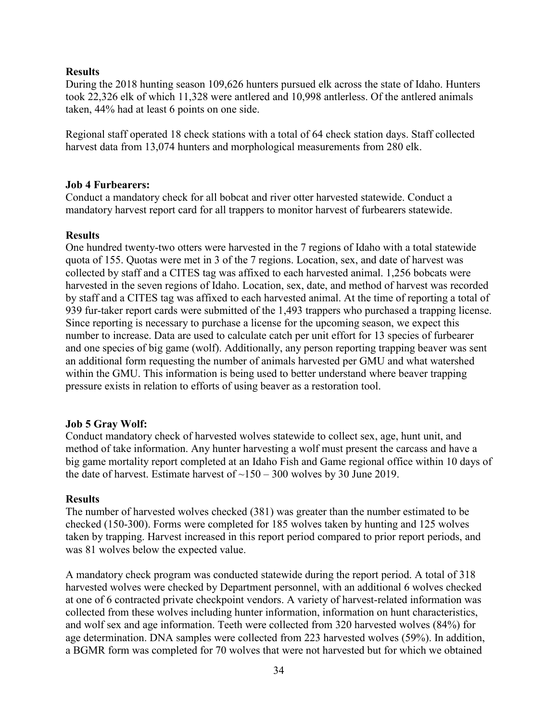## <span id="page-33-0"></span>**Results**

During the 2018 hunting season 109,626 hunters pursued elk across the state of Idaho. Hunters took 22,326 elk of which 11,328 were antlered and 10,998 antlerless. Of the antlered animals taken, 44% had at least 6 points on one side.

Regional staff operated 18 check stations with a total of 64 check station days. Staff collected harvest data from 13,074 hunters and morphological measurements from 280 elk.

#### <span id="page-33-1"></span>**Job 4 Furbearers:**

Conduct a mandatory check for all bobcat and river otter harvested statewide. Conduct a mandatory harvest report card for all trappers to monitor harvest of furbearers statewide.

#### <span id="page-33-2"></span>**Results**

One hundred twenty-two otters were harvested in the 7 regions of Idaho with a total statewide quota of 155. Quotas were met in 3 of the 7 regions. Location, sex, and date of harvest was collected by staff and a CITES tag was affixed to each harvested animal. 1,256 bobcats were harvested in the seven regions of Idaho. Location, sex, date, and method of harvest was recorded by staff and a CITES tag was affixed to each harvested animal. At the time of reporting a total of 939 fur-taker report cards were submitted of the 1,493 trappers who purchased a trapping license. Since reporting is necessary to purchase a license for the upcoming season, we expect this number to increase. Data are used to calculate catch per unit effort for 13 species of furbearer and one species of big game (wolf). Additionally, any person reporting trapping beaver was sent an additional form requesting the number of animals harvested per GMU and what watershed within the GMU. This information is being used to better understand where beaver trapping pressure exists in relation to efforts of using beaver as a restoration tool.

## <span id="page-33-3"></span>**Job 5 Gray Wolf:**

Conduct mandatory check of harvested wolves statewide to collect sex, age, hunt unit, and method of take information. Any hunter harvesting a wolf must present the carcass and have a big game mortality report completed at an Idaho Fish and Game regional office within 10 days of the date of harvest. Estimate harvest of  $~150 - 300$  wolves by 30 June 2019.

#### <span id="page-33-4"></span>**Results**

The number of harvested wolves checked (381) was greater than the number estimated to be checked (150-300). Forms were completed for 185 wolves taken by hunting and 125 wolves taken by trapping. Harvest increased in this report period compared to prior report periods, and was 81 wolves below the expected value.

A mandatory check program was conducted statewide during the report period. A total of 318 harvested wolves were checked by Department personnel, with an additional 6 wolves checked at one of 6 contracted private checkpoint vendors. A variety of harvest-related information was collected from these wolves including hunter information, information on hunt characteristics, and wolf sex and age information. Teeth were collected from 320 harvested wolves (84%) for age determination. DNA samples were collected from 223 harvested wolves (59%). In addition, a BGMR form was completed for 70 wolves that were not harvested but for which we obtained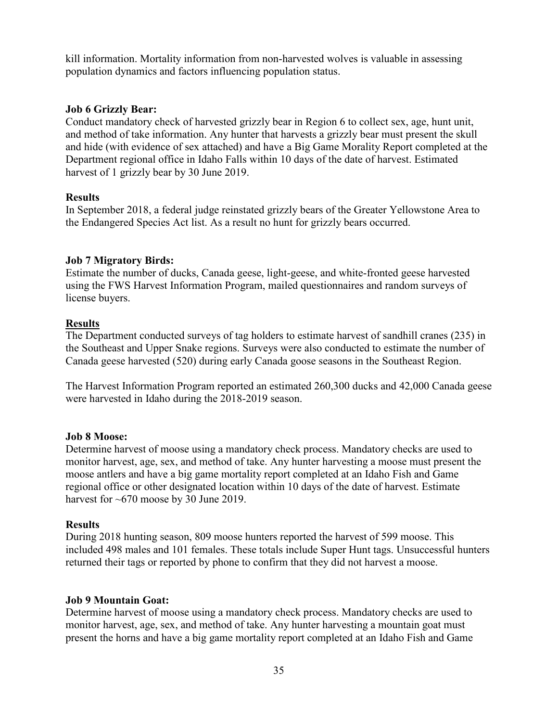kill information. Mortality information from non-harvested wolves is valuable in assessing population dynamics and factors influencing population status.

## <span id="page-34-0"></span>**Job 6 Grizzly Bear:**

Conduct mandatory check of harvested grizzly bear in Region 6 to collect sex, age, hunt unit, and method of take information. Any hunter that harvests a grizzly bear must present the skull and hide (with evidence of sex attached) and have a Big Game Morality Report completed at the Department regional office in Idaho Falls within 10 days of the date of harvest. Estimated harvest of 1 grizzly bear by 30 June 2019.

## <span id="page-34-1"></span>**Results**

In September 2018, a federal judge reinstated grizzly bears of the Greater Yellowstone Area to the Endangered Species Act list. As a result no hunt for grizzly bears occurred.

## <span id="page-34-2"></span>**Job 7 Migratory Birds:**

Estimate the number of ducks, Canada geese, light-geese, and white-fronted geese harvested using the FWS Harvest Information Program, mailed questionnaires and random surveys of license buyers.

## **Results**

The Department conducted surveys of tag holders to estimate harvest of sandhill cranes (235) in the Southeast and Upper Snake regions. Surveys were also conducted to estimate the number of Canada geese harvested (520) during early Canada goose seasons in the Southeast Region.

The Harvest Information Program reported an estimated 260,300 ducks and 42,000 Canada geese were harvested in Idaho during the 2018-2019 season.

## <span id="page-34-3"></span>**Job 8 Moose:**

Determine harvest of moose using a mandatory check process. Mandatory checks are used to monitor harvest, age, sex, and method of take. Any hunter harvesting a moose must present the moose antlers and have a big game mortality report completed at an Idaho Fish and Game regional office or other designated location within 10 days of the date of harvest. Estimate harvest for ~670 moose by 30 June 2019.

## <span id="page-34-4"></span>**Results**

During 2018 hunting season, 809 moose hunters reported the harvest of 599 moose. This included 498 males and 101 females. These totals include Super Hunt tags. Unsuccessful hunters returned their tags or reported by phone to confirm that they did not harvest a moose.

## <span id="page-34-5"></span>**Job 9 Mountain Goat:**

Determine harvest of moose using a mandatory check process. Mandatory checks are used to monitor harvest, age, sex, and method of take. Any hunter harvesting a mountain goat must present the horns and have a big game mortality report completed at an Idaho Fish and Game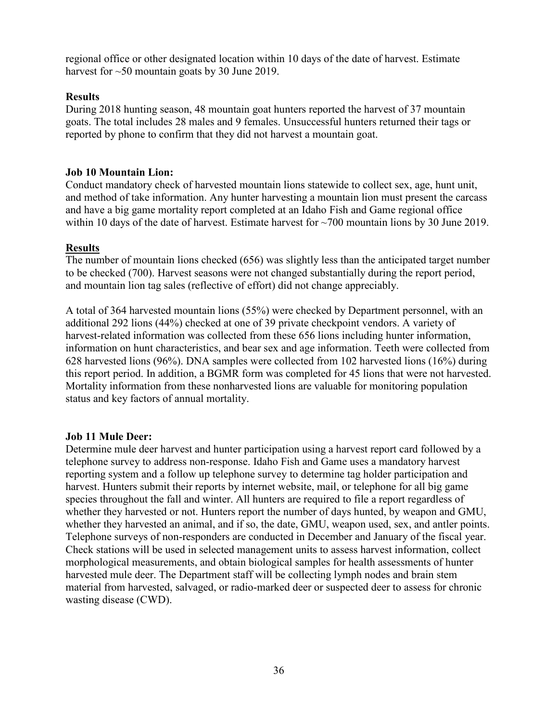regional office or other designated location within 10 days of the date of harvest. Estimate harvest for ~50 mountain goats by 30 June 2019.

## <span id="page-35-0"></span>**Results**

During 2018 hunting season, 48 mountain goat hunters reported the harvest of 37 mountain goats. The total includes 28 males and 9 females. Unsuccessful hunters returned their tags or reported by phone to confirm that they did not harvest a mountain goat.

## <span id="page-35-1"></span>**Job 10 Mountain Lion:**

Conduct mandatory check of harvested mountain lions statewide to collect sex, age, hunt unit, and method of take information. Any hunter harvesting a mountain lion must present the carcass and have a big game mortality report completed at an Idaho Fish and Game regional office within 10 days of the date of harvest. Estimate harvest for ~700 mountain lions by 30 June 2019.

## **Results**

The number of mountain lions checked (656) was slightly less than the anticipated target number to be checked (700). Harvest seasons were not changed substantially during the report period, and mountain lion tag sales (reflective of effort) did not change appreciably.

A total of 364 harvested mountain lions (55%) were checked by Department personnel, with an additional 292 lions (44%) checked at one of 39 private checkpoint vendors. A variety of harvest-related information was collected from these 656 lions including hunter information, information on hunt characteristics, and bear sex and age information. Teeth were collected from 628 harvested lions (96%). DNA samples were collected from 102 harvested lions (16%) during this report period. In addition, a BGMR form was completed for 45 lions that were not harvested. Mortality information from these nonharvested lions are valuable for monitoring population status and key factors of annual mortality.

## <span id="page-35-2"></span>**Job 11 Mule Deer:**

Determine mule deer harvest and hunter participation using a harvest report card followed by a telephone survey to address non-response. Idaho Fish and Game uses a mandatory harvest reporting system and a follow up telephone survey to determine tag holder participation and harvest. Hunters submit their reports by internet website, mail, or telephone for all big game species throughout the fall and winter. All hunters are required to file a report regardless of whether they harvested or not. Hunters report the number of days hunted, by weapon and GMU, whether they harvested an animal, and if so, the date, GMU, weapon used, sex, and antler points. Telephone surveys of non-responders are conducted in December and January of the fiscal year. Check stations will be used in selected management units to assess harvest information, collect morphological measurements, and obtain biological samples for health assessments of hunter harvested mule deer. The Department staff will be collecting lymph nodes and brain stem material from harvested, salvaged, or radio-marked deer or suspected deer to assess for chronic wasting disease (CWD).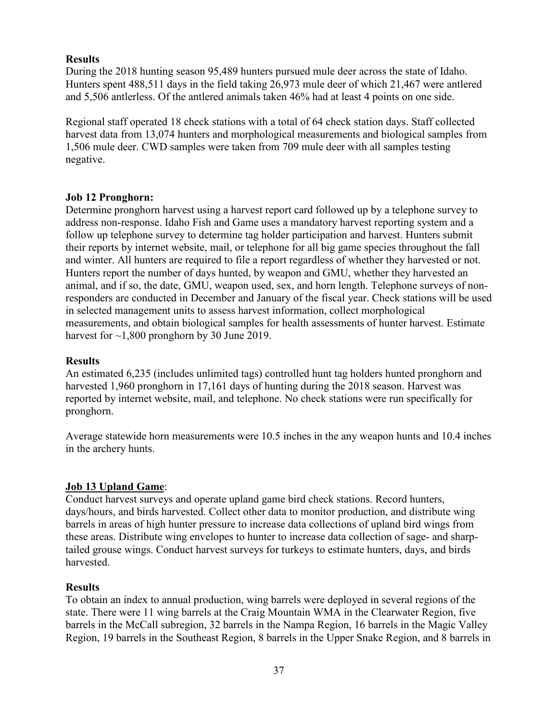## <span id="page-36-0"></span>**Results**

During the 2018 hunting season 95,489 hunters pursued mule deer across the state of Idaho. Hunters spent 488,511 days in the field taking 26,973 mule deer of which 21,467 were antlered and 5,506 antlerless. Of the antlered animals taken 46% had at least 4 points on one side.

Regional staff operated 18 check stations with a total of 64 check station days. Staff collected harvest data from 13,074 hunters and morphological measurements and biological samples from 1,506 mule deer. CWD samples were taken from 709 mule deer with all samples testing negative.

## <span id="page-36-1"></span>**Job 12 Pronghorn:**

Determine pronghorn harvest using a harvest report card followed up by a telephone survey to address non-response. Idaho Fish and Game uses a mandatory harvest reporting system and a follow up telephone survey to determine tag holder participation and harvest. Hunters submit their reports by internet website, mail, or telephone for all big game species throughout the fall and winter. All hunters are required to file a report regardless of whether they harvested or not. Hunters report the number of days hunted, by weapon and GMU, whether they harvested an animal, and if so, the date, GMU, weapon used, sex, and horn length. Telephone surveys of nonresponders are conducted in December and January of the fiscal year. Check stations will be used in selected management units to assess harvest information, collect morphological measurements, and obtain biological samples for health assessments of hunter harvest. Estimate harvest for ~1,800 pronghorn by 30 June 2019.

## <span id="page-36-2"></span>**Results**

An estimated 6,235 (includes unlimited tags) controlled hunt tag holders hunted pronghorn and harvested 1,960 pronghorn in 17,161 days of hunting during the 2018 season. Harvest was reported by internet website, mail, and telephone. No check stations were run specifically for pronghorn.

Average statewide horn measurements were 10.5 inches in the any weapon hunts and 10.4 inches in the archery hunts.

## **Job 13 Upland Game**:

Conduct harvest surveys and operate upland game bird check stations. Record hunters, days/hours, and birds harvested. Collect other data to monitor production, and distribute wing barrels in areas of high hunter pressure to increase data collections of upland bird wings from these areas. Distribute wing envelopes to hunter to increase data collection of sage- and sharptailed grouse wings. Conduct harvest surveys for turkeys to estimate hunters, days, and birds harvested.

## <span id="page-36-3"></span>**Results**

To obtain an index to annual production, wing barrels were deployed in several regions of the state. There were 11 wing barrels at the Craig Mountain WMA in the Clearwater Region, five barrels in the McCall subregion, 32 barrels in the Nampa Region, 16 barrels in the Magic Valley Region, 19 barrels in the Southeast Region, 8 barrels in the Upper Snake Region, and 8 barrels in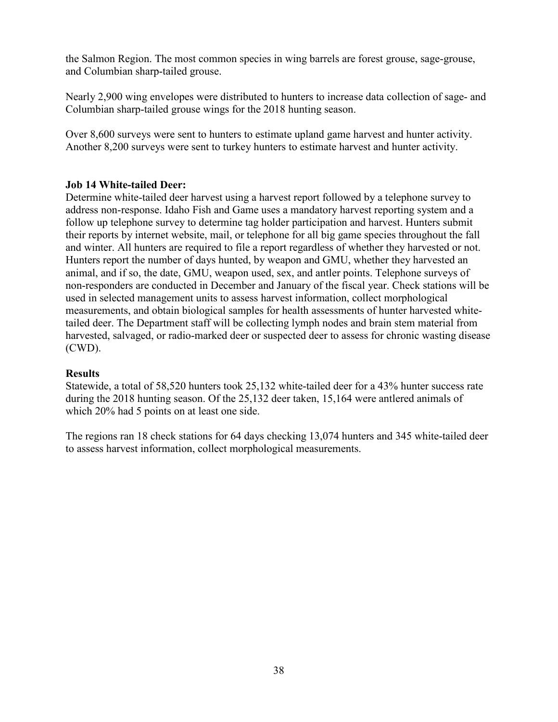the Salmon Region. The most common species in wing barrels are forest grouse, sage-grouse, and Columbian sharp-tailed grouse.

Nearly 2,900 wing envelopes were distributed to hunters to increase data collection of sage- and Columbian sharp-tailed grouse wings for the 2018 hunting season.

Over 8,600 surveys were sent to hunters to estimate upland game harvest and hunter activity. Another 8,200 surveys were sent to turkey hunters to estimate harvest and hunter activity.

## <span id="page-37-0"></span>**Job 14 White-tailed Deer:**

Determine white-tailed deer harvest using a harvest report followed by a telephone survey to address non-response. Idaho Fish and Game uses a mandatory harvest reporting system and a follow up telephone survey to determine tag holder participation and harvest. Hunters submit their reports by internet website, mail, or telephone for all big game species throughout the fall and winter. All hunters are required to file a report regardless of whether they harvested or not. Hunters report the number of days hunted, by weapon and GMU, whether they harvested an animal, and if so, the date, GMU, weapon used, sex, and antler points. Telephone surveys of non-responders are conducted in December and January of the fiscal year. Check stations will be used in selected management units to assess harvest information, collect morphological measurements, and obtain biological samples for health assessments of hunter harvested whitetailed deer. The Department staff will be collecting lymph nodes and brain stem material from harvested, salvaged, or radio-marked deer or suspected deer to assess for chronic wasting disease (CWD).

## <span id="page-37-1"></span>**Results**

Statewide, a total of 58,520 hunters took 25,132 white-tailed deer for a 43% hunter success rate during the 2018 hunting season. Of the 25,132 deer taken, 15,164 were antlered animals of which 20% had 5 points on at least one side.

The regions ran 18 check stations for 64 days checking 13,074 hunters and 345 white-tailed deer to assess harvest information, collect morphological measurements.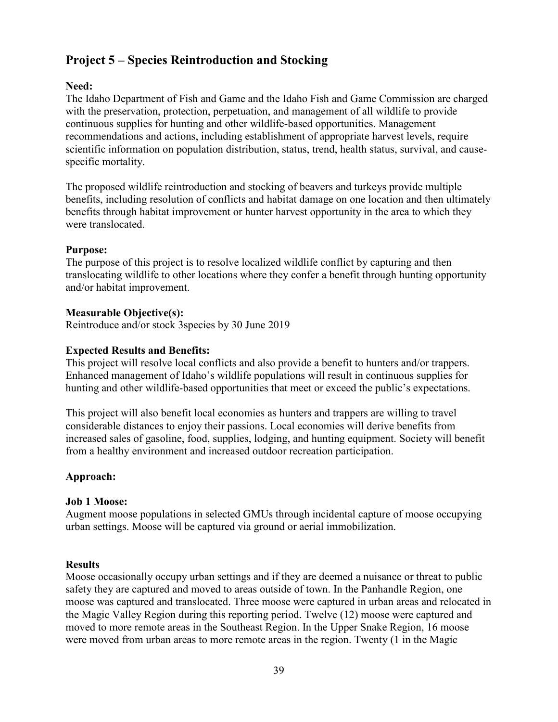## <span id="page-38-0"></span>**Project 5 – Species Reintroduction and Stocking**

## <span id="page-38-1"></span>**Need:**

The Idaho Department of Fish and Game and the Idaho Fish and Game Commission are charged with the preservation, protection, perpetuation, and management of all wildlife to provide continuous supplies for hunting and other wildlife-based opportunities. Management recommendations and actions, including establishment of appropriate harvest levels, require scientific information on population distribution, status, trend, health status, survival, and causespecific mortality.

The proposed wildlife reintroduction and stocking of beavers and turkeys provide multiple benefits, including resolution of conflicts and habitat damage on one location and then ultimately benefits through habitat improvement or hunter harvest opportunity in the area to which they were translocated.

## <span id="page-38-2"></span>**Purpose:**

The purpose of this project is to resolve localized wildlife conflict by capturing and then translocating wildlife to other locations where they confer a benefit through hunting opportunity and/or habitat improvement.

## <span id="page-38-3"></span>**Measurable Objective(s):**

Reintroduce and/or stock 3species by 30 June 2019

## <span id="page-38-4"></span>**Expected Results and Benefits:**

This project will resolve local conflicts and also provide a benefit to hunters and/or trappers. Enhanced management of Idaho's wildlife populations will result in continuous supplies for hunting and other wildlife-based opportunities that meet or exceed the public's expectations.

This project will also benefit local economies as hunters and trappers are willing to travel considerable distances to enjoy their passions. Local economies will derive benefits from increased sales of gasoline, food, supplies, lodging, and hunting equipment. Society will benefit from a healthy environment and increased outdoor recreation participation.

## <span id="page-38-5"></span>**Approach:**

## <span id="page-38-6"></span>**Job 1 Moose:**

Augment moose populations in selected GMUs through incidental capture of moose occupying urban settings. Moose will be captured via ground or aerial immobilization.

## <span id="page-38-7"></span>**Results**

Moose occasionally occupy urban settings and if they are deemed a nuisance or threat to public safety they are captured and moved to areas outside of town. In the Panhandle Region, one moose was captured and translocated. Three moose were captured in urban areas and relocated in the Magic Valley Region during this reporting period. Twelve (12) moose were captured and moved to more remote areas in the Southeast Region. In the Upper Snake Region, 16 moose were moved from urban areas to more remote areas in the region. Twenty (1 in the Magic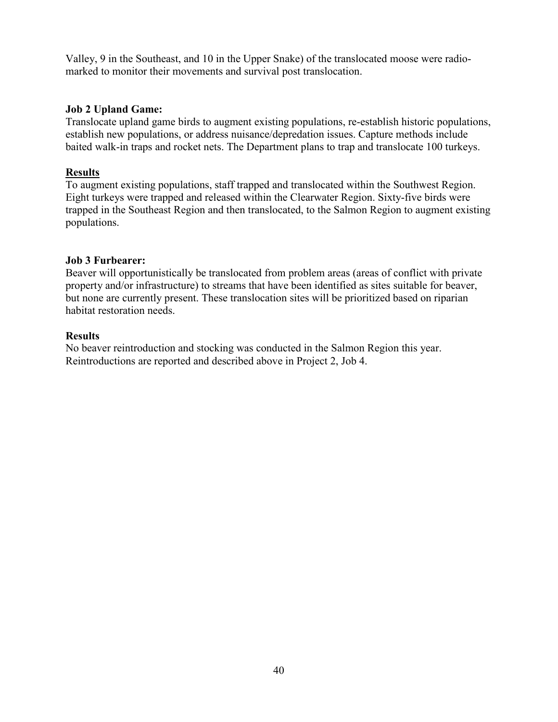Valley, 9 in the Southeast, and 10 in the Upper Snake) of the translocated moose were radiomarked to monitor their movements and survival post translocation.

## <span id="page-39-0"></span>**Job 2 Upland Game:**

Translocate upland game birds to augment existing populations, re-establish historic populations, establish new populations, or address nuisance/depredation issues. Capture methods include baited walk-in traps and rocket nets. The Department plans to trap and translocate 100 turkeys.

## **Results**

To augment existing populations, staff trapped and translocated within the Southwest Region. Eight turkeys were trapped and released within the Clearwater Region. Sixty-five birds were trapped in the Southeast Region and then translocated, to the Salmon Region to augment existing populations.

## <span id="page-39-1"></span>**Job 3 Furbearer:**

Beaver will opportunistically be translocated from problem areas (areas of conflict with private property and/or infrastructure) to streams that have been identified as sites suitable for beaver, but none are currently present. These translocation sites will be prioritized based on riparian habitat restoration needs.

## <span id="page-39-2"></span>**Results**

No beaver reintroduction and stocking was conducted in the Salmon Region this year. Reintroductions are reported and described above in Project 2, Job 4.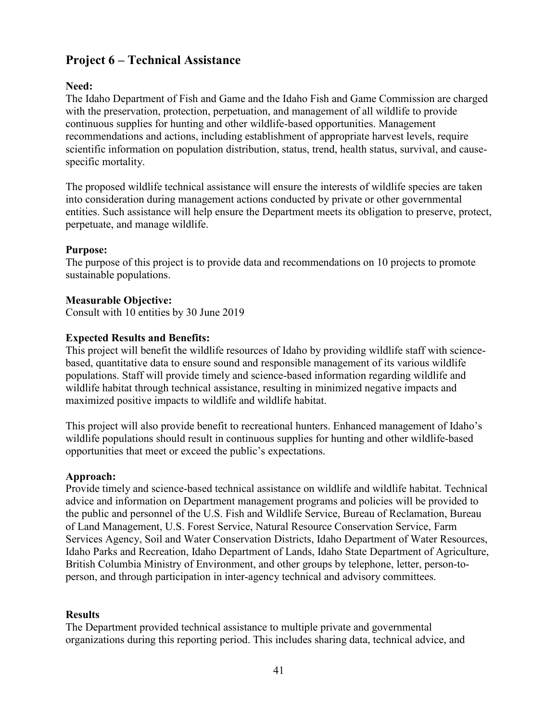## <span id="page-40-0"></span>**Project 6 – Technical Assistance**

## <span id="page-40-1"></span>**Need:**

The Idaho Department of Fish and Game and the Idaho Fish and Game Commission are charged with the preservation, protection, perpetuation, and management of all wildlife to provide continuous supplies for hunting and other wildlife-based opportunities. Management recommendations and actions, including establishment of appropriate harvest levels, require scientific information on population distribution, status, trend, health status, survival, and causespecific mortality.

The proposed wildlife technical assistance will ensure the interests of wildlife species are taken into consideration during management actions conducted by private or other governmental entities. Such assistance will help ensure the Department meets its obligation to preserve, protect, perpetuate, and manage wildlife.

## <span id="page-40-2"></span>**Purpose:**

The purpose of this project is to provide data and recommendations on 10 projects to promote sustainable populations.

## <span id="page-40-3"></span>**Measurable Objective:**

Consult with 10 entities by 30 June 2019

## <span id="page-40-4"></span>**Expected Results and Benefits:**

This project will benefit the wildlife resources of Idaho by providing wildlife staff with sciencebased, quantitative data to ensure sound and responsible management of its various wildlife populations. Staff will provide timely and science-based information regarding wildlife and wildlife habitat through technical assistance, resulting in minimized negative impacts and maximized positive impacts to wildlife and wildlife habitat.

This project will also provide benefit to recreational hunters. Enhanced management of Idaho's wildlife populations should result in continuous supplies for hunting and other wildlife-based opportunities that meet or exceed the public's expectations.

## <span id="page-40-5"></span>**Approach:**

Provide timely and science-based technical assistance on wildlife and wildlife habitat. Technical advice and information on Department management programs and policies will be provided to the public and personnel of the U.S. Fish and Wildlife Service, Bureau of Reclamation, Bureau of Land Management, U.S. Forest Service, Natural Resource Conservation Service, Farm Services Agency, Soil and Water Conservation Districts, Idaho Department of Water Resources, Idaho Parks and Recreation, Idaho Department of Lands, Idaho State Department of Agriculture, British Columbia Ministry of Environment, and other groups by telephone, letter, person-toperson, and through participation in inter-agency technical and advisory committees.

## <span id="page-40-6"></span>**Results**

The Department provided technical assistance to multiple private and governmental organizations during this reporting period. This includes sharing data, technical advice, and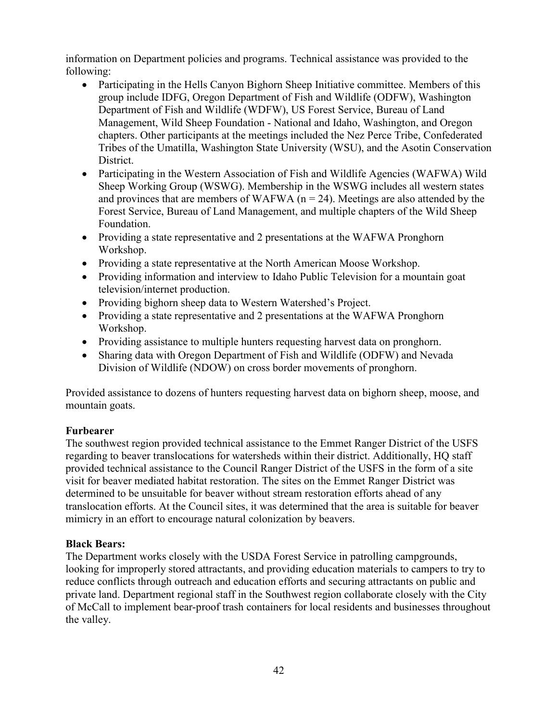information on Department policies and programs. Technical assistance was provided to the following:

- Participating in the Hells Canyon Bighorn Sheep Initiative committee. Members of this group include IDFG, Oregon Department of Fish and Wildlife (ODFW), Washington Department of Fish and Wildlife (WDFW), US Forest Service, Bureau of Land Management, Wild Sheep Foundation - National and Idaho, Washington, and Oregon chapters. Other participants at the meetings included the Nez Perce Tribe, Confederated Tribes of the Umatilla, Washington State University (WSU), and the Asotin Conservation District.
- Participating in the Western Association of Fish and Wildlife Agencies (WAFWA) Wild Sheep Working Group (WSWG). Membership in the WSWG includes all western states and provinces that are members of WAFWA ( $n = 24$ ). Meetings are also attended by the Forest Service, Bureau of Land Management, and multiple chapters of the Wild Sheep Foundation.
- Providing a state representative and 2 presentations at the WAFWA Pronghorn Workshop.
- Providing a state representative at the North American Moose Workshop.
- Providing information and interview to Idaho Public Television for a mountain goat television/internet production.
- Providing bighorn sheep data to Western Watershed's Project.
- Providing a state representative and 2 presentations at the WAFWA Pronghorn Workshop.
- Providing assistance to multiple hunters requesting harvest data on pronghorn.
- Sharing data with Oregon Department of Fish and Wildlife (ODFW) and Nevada Division of Wildlife (NDOW) on cross border movements of pronghorn.

Provided assistance to dozens of hunters requesting harvest data on bighorn sheep, moose, and mountain goats.

## **Furbearer**

The southwest region provided technical assistance to the Emmet Ranger District of the USFS regarding to beaver translocations for watersheds within their district. Additionally, HQ staff provided technical assistance to the Council Ranger District of the USFS in the form of a site visit for beaver mediated habitat restoration. The sites on the Emmet Ranger District was determined to be unsuitable for beaver without stream restoration efforts ahead of any translocation efforts. At the Council sites, it was determined that the area is suitable for beaver mimicry in an effort to encourage natural colonization by beavers.

## <span id="page-41-0"></span>**Black Bears:**

The Department works closely with the USDA Forest Service in patrolling campgrounds, looking for improperly stored attractants, and providing education materials to campers to try to reduce conflicts through outreach and education efforts and securing attractants on public and private land. Department regional staff in the Southwest region collaborate closely with the City of McCall to implement bear-proof trash containers for local residents and businesses throughout the valley.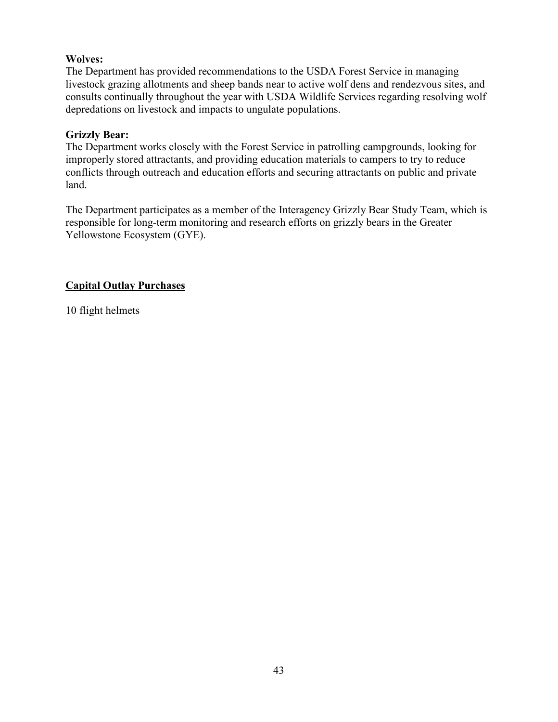## <span id="page-42-0"></span>**Wolves:**

The Department has provided recommendations to the USDA Forest Service in managing livestock grazing allotments and sheep bands near to active wolf dens and rendezvous sites, and consults continually throughout the year with USDA Wildlife Services regarding resolving wolf depredations on livestock and impacts to ungulate populations.

## <span id="page-42-1"></span>**Grizzly Bear:**

The Department works closely with the Forest Service in patrolling campgrounds, looking for improperly stored attractants, and providing education materials to campers to try to reduce conflicts through outreach and education efforts and securing attractants on public and private land.

The Department participates as a member of the Interagency Grizzly Bear Study Team, which is responsible for long-term monitoring and research efforts on grizzly bears in the Greater Yellowstone Ecosystem (GYE).

## **Capital Outlay Purchases**

10 flight helmets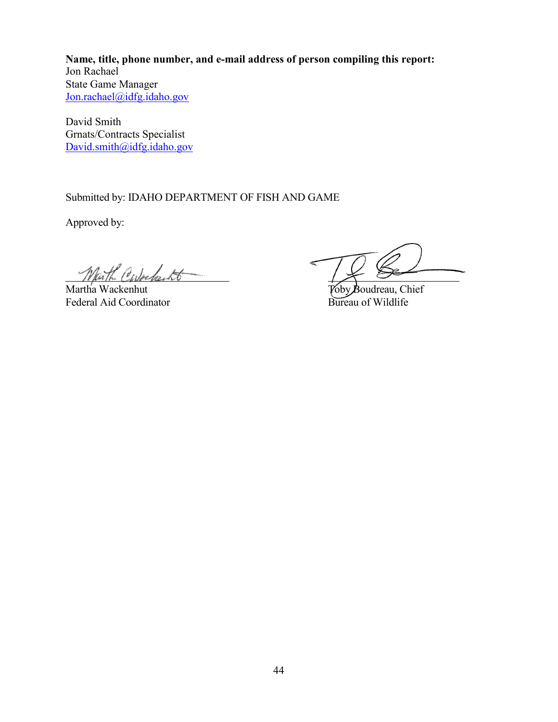**Name, title, phone number, and e-mail address of person compiling this report:** Jon Rachael State Game Manager [Jon.rachael@idfg.idaho.gov](mailto:Jon.rachael@idfg.idaho.gov)

David Smith Grnats/Contracts Specialist [David.smith@idfg.idaho.gov](mailto:David.smith@idfg.idaho.gov)

Submitted by: IDAHO DEPARTMENT OF FISH AND GAME

Approved by:

Martha Wackenhut<br>
Federal Aid Coordinator<br>
Federal Aid Coordinator<br>
Sureau of Wildlife Federal Aid Coordinator